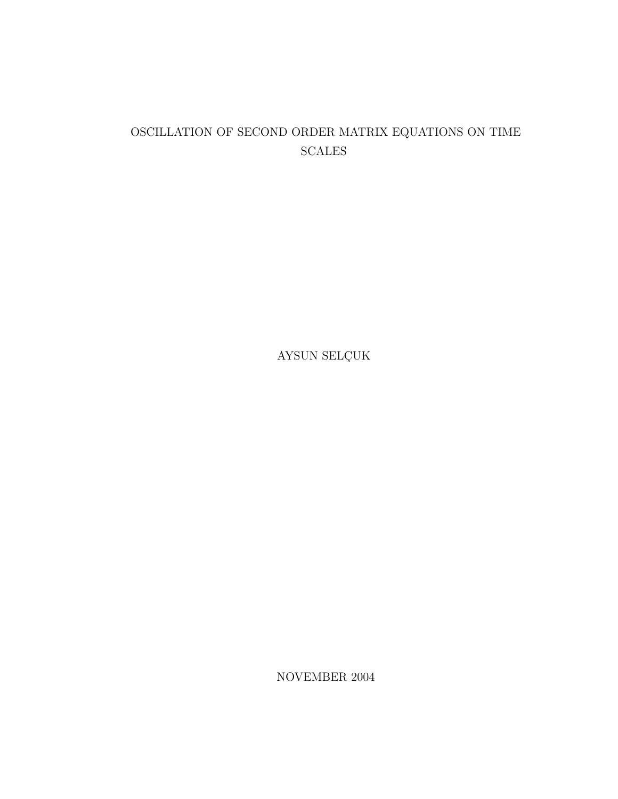#### OSCILLATION OF SECOND ORDER MATRIX EQUATIONS ON TIME SCALES

AYSUN $\operatorname{SELGUK}$ 

NOVEMBER 2004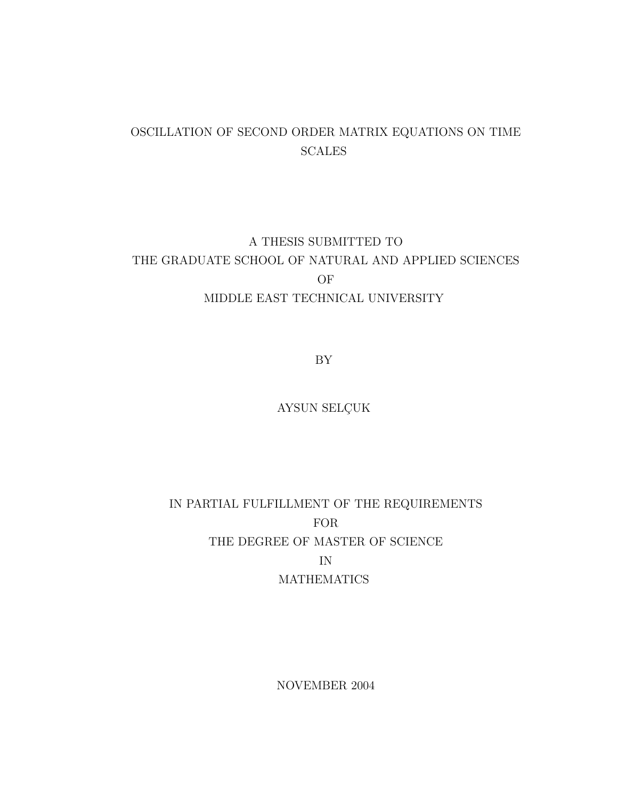#### OSCILLATION OF SECOND ORDER MATRIX EQUATIONS ON TIME **SCALES**

### A THESIS SUBMITTED TO THE GRADUATE SCHOOL OF NATURAL AND APPLIED SCIENCES OF MIDDLE EAST TECHNICAL UNIVERSITY

BY

AYSUN SELÇUK

## IN PARTIAL FULFILLMENT OF THE REQUIREMENTS FOR THE DEGREE OF MASTER OF SCIENCE IN **MATHEMATICS**

NOVEMBER 2004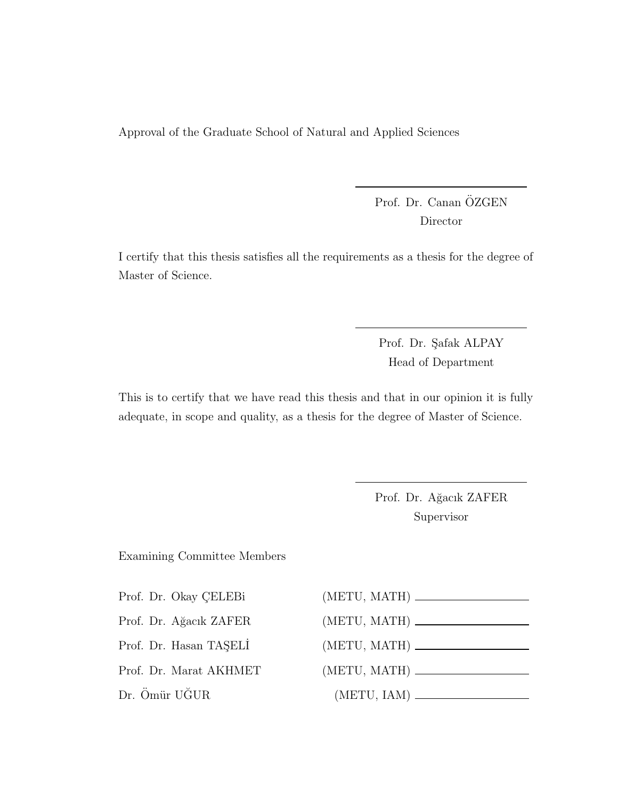Approval of the Graduate School of Natural and Applied Sciences

Prof. Dr. Canan ÖZGEN Director

I certify that this thesis satisfies all the requirements as a thesis for the degree of Master of Science.

> Prof. Dr. Şafak ALPAY Head of Department

This is to certify that we have read this thesis and that in our opinion it is fully adequate, in scope and quality, as a thesis for the degree of Master of Science.

> Prof. Dr. Ağacık ZAFER Supervisor

Examining Committee Members

Prof. Dr. Okay ÇELEBi (M Prof. Dr. Ağacık ZAFER (METU) Prof. Dr. Hasan TAŞELI ( Prof. Dr. Marat AKHMET (METU) Dr. Ömür UĞUR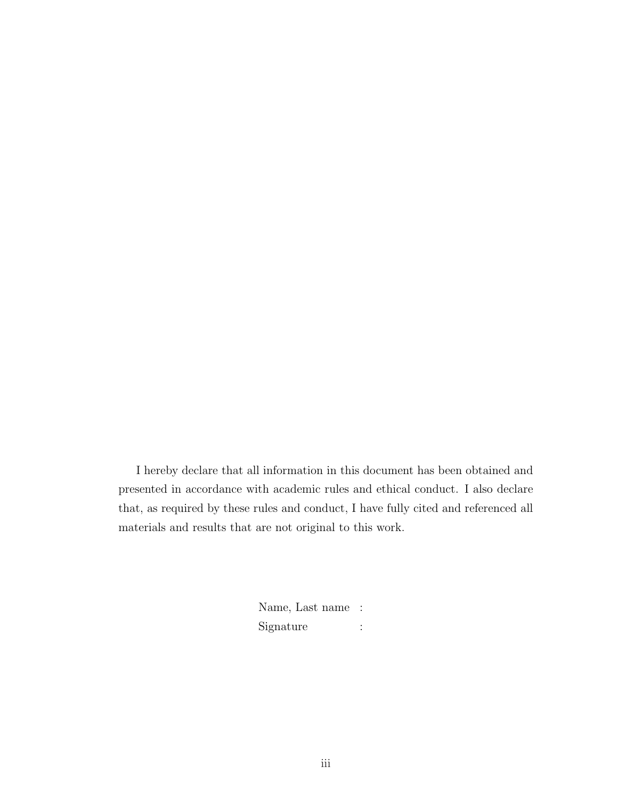I hereby declare that all information in this document has been obtained and presented in accordance with academic rules and ethical conduct. I also declare that, as required by these rules and conduct, I have fully cited and referenced all materials and results that are not original to this work.

> Name, Last name : Signature :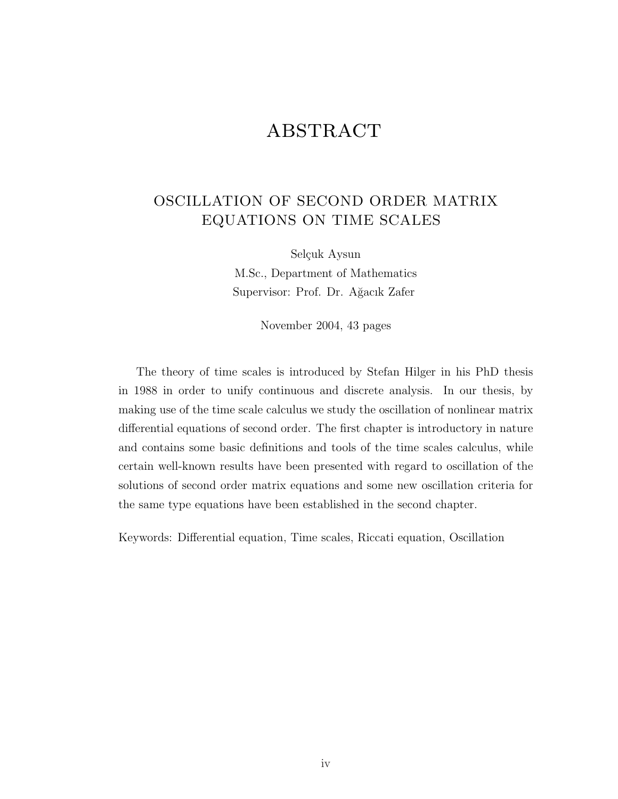# **ABSTRACT**

#### OSCILLATION OF SECOND ORDER MATRIX EQUATIONS ON TIME SCALES

Selçuk Aysun M.Sc., Department of Mathematics Supervisor: Prof. Dr. Ağacık Zafer

November 2004, 43 pages

The theory of time scales is introduced by Stefan Hilger in his PhD thesis in 1988 in order to unify continuous and discrete analysis. In our thesis, by making use of the time scale calculus we study the oscillation of nonlinear matrix differential equations of second order. The first chapter is introductory in nature and contains some basic definitions and tools of the time scales calculus, while certain well-known results have been presented with regard to oscillation of the solutions of second order matrix equations and some new oscillation criteria for the same type equations have been established in the second chapter.

Keywords: Differential equation, Time scales, Riccati equation, Oscillation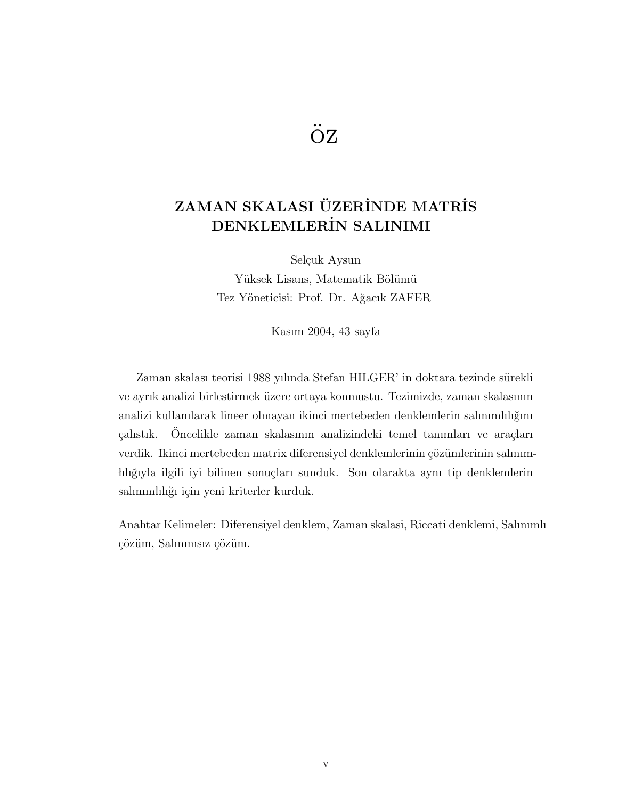# öz

## ZAMAN SKALASI ÜZERİNDE MATRİS DENKLEMLERİN SALINIMI

Selçuk Aysun Yüksek Lisans, Matematik Bölümü Tez Yöneticisi: Prof. Dr. Ağacık ZAFER

Kasım 2004, 43 sayfa

Zaman skalası teorisi 1988 yılında Stefan HILGER' in doktara tezinde sürekli ve ayrık analizi birlestirmek üzere ortaya konmustu. Tezimizde, zaman skalasının analizi kullanılarak lineer olmayan ikinci mertebeden denklemlerin salınımlılığını çalıstık. Öncelikle zaman skalasının analizindeki temel tanımları ve araçları verdik. Ikinci mertebeden matrix diferensiyel denklemlerinin çözümlerinin salınımhlığıyla ilgili iyi bilinen sonuçları sunduk. Son olarakta aynı tip denklemlerin salınımlılığı için yeni kriterler kurduk.

Anahtar Kelimeler: Diferensiyel denklem, Zaman skalasi, Riccati denklemi, Salınımlı çözüm, Salınımsız çözüm.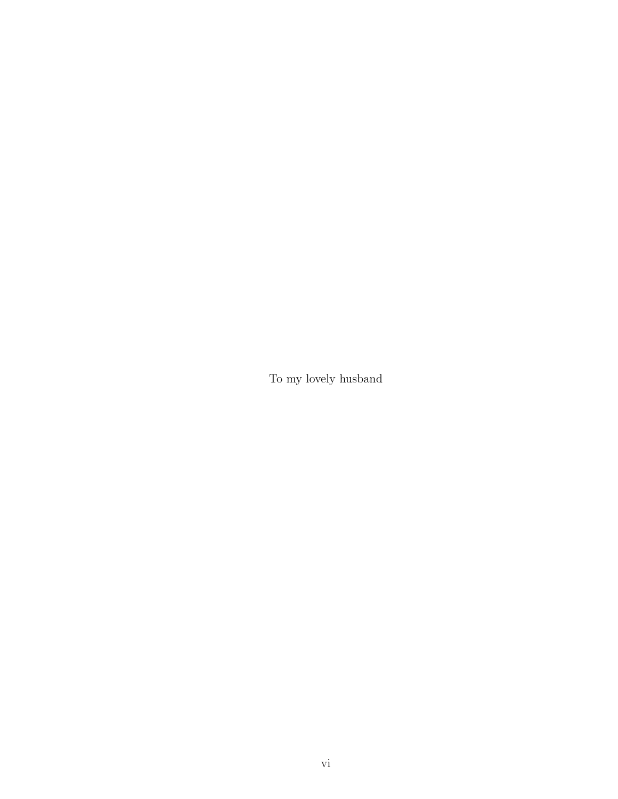To my lovely husband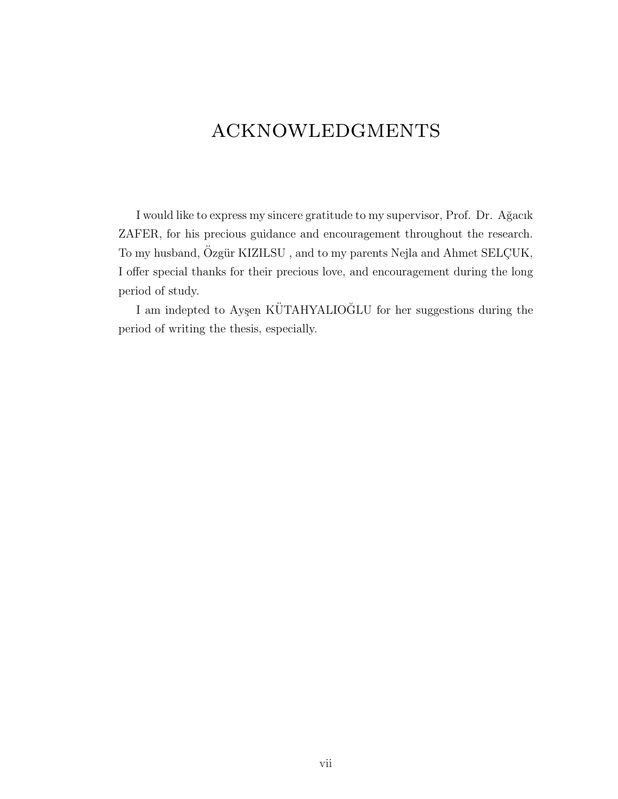# acknowledgments

I would like to express my sincere gratitude to my supervisor, Prof. Dr. A˘gacık ZAFER, for his precious guidance and encouragement throughout the research. To my husband, Özgür KIZILSU, and to my parents Nejla and Ahmet SELÇUK, I offer special thanks for their precious love, and encouragement during the long period of study.

 $\;$  I am indepted to Ayşen KÜTAHYALIOĞLU for her suggestions during the period of writing the thesis, especially.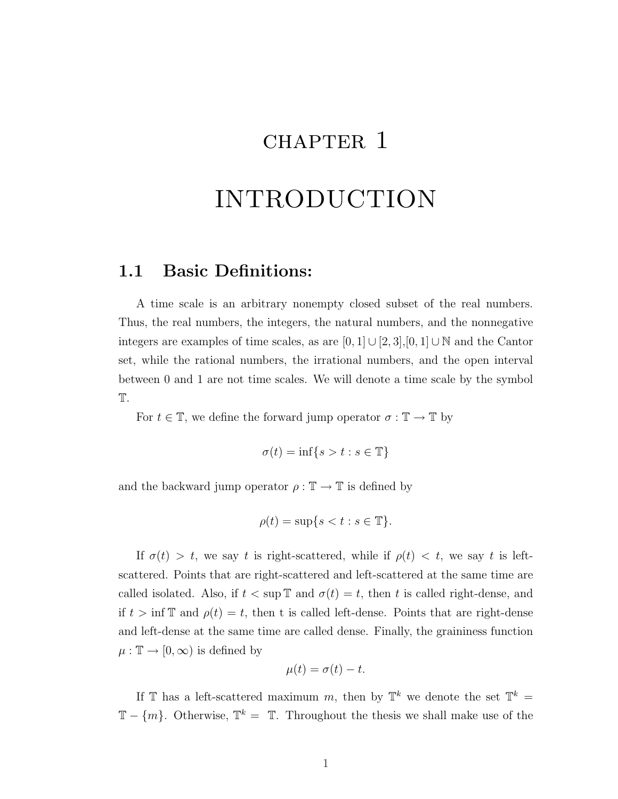# CHAPTER 1

# INTRODUCTION

#### 1.1 Basic Definitions:

A time scale is an arbitrary nonempty closed subset of the real numbers. Thus, the real numbers, the integers, the natural numbers, and the nonnegative integers are examples of time scales, as are  $[0, 1] \cup [2, 3]$ ,  $[0, 1] \cup \mathbb{N}$  and the Cantor set, while the rational numbers, the irrational numbers, and the open interval between 0 and 1 are not time scales. We will denote a time scale by the symbol T.

For  $t \in \mathbb{T}$ , we define the forward jump operator  $\sigma : \mathbb{T} \to \mathbb{T}$  by

$$
\sigma(t) = \inf\{s > t : s \in \mathbb{T}\}
$$

and the backward jump operator  $\rho : \mathbb{T} \to \mathbb{T}$  is defined by

$$
\rho(t) = \sup\{s < t : s \in \mathbb{T}\}.
$$

If  $\sigma(t) > t$ , we say t is right-scattered, while if  $\rho(t) < t$ , we say t is leftscattered. Points that are right-scattered and left-scattered at the same time are called isolated. Also, if  $t < \sup \mathbb{T}$  and  $\sigma(t) = t$ , then t is called right-dense, and if  $t > \inf \mathbb{T}$  and  $\rho(t) = t$ , then t is called left-dense. Points that are right-dense and left-dense at the same time are called dense. Finally, the graininess function  $\mu : \mathbb{T} \to [0, \infty)$  is defined by

$$
\mu(t) = \sigma(t) - t.
$$

If T has a left-scattered maximum m, then by  $\mathbb{T}^k$  we denote the set  $\mathbb{T}^k$  =  $\mathbb{T} - \{m\}$ . Otherwise,  $\mathbb{T}^k = \mathbb{T}$ . Throughout the thesis we shall make use of the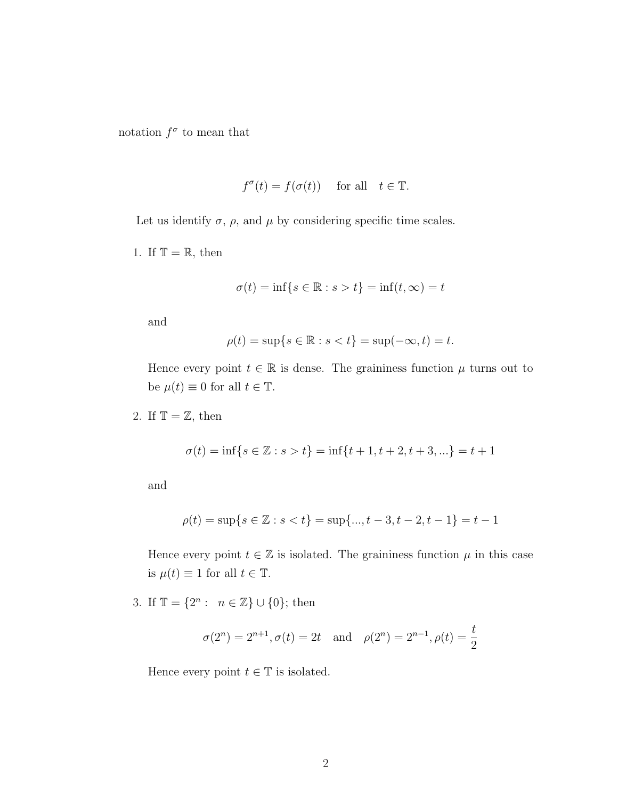notation  $f^{\sigma}$  to mean that

$$
f^{\sigma}(t) = f(\sigma(t))
$$
 for all  $t \in \mathbb{T}$ .

Let us identify  $\sigma$ ,  $\rho$ , and  $\mu$  by considering specific time scales.

1. If  $\mathbb{T} = \mathbb{R}$ , then

$$
\sigma(t) = \inf\{s \in \mathbb{R} : s > t\} = \inf(t, \infty) = t
$$

and

$$
\rho(t) = \sup\{s \in \mathbb{R} : s < t\} = \sup(-\infty, t) = t.
$$

Hence every point  $t \in \mathbb{R}$  is dense. The graininess function  $\mu$  turns out to be  $\mu(t) \equiv 0$  for all  $t \in \mathbb{T}$ .

2. If  $\mathbb{T} = \mathbb{Z}$ , then

$$
\sigma(t) = \inf\{s \in \mathbb{Z} : s > t\} = \inf\{t + 1, t + 2, t + 3, \ldots\} = t + 1
$$

and

$$
\rho(t) = \sup\{s \in \mathbb{Z} : s < t\} = \sup\{..., t - 3, t - 2, t - 1\} = t - 1
$$

Hence every point  $t \in \mathbb{Z}$  is isolated. The graininess function  $\mu$  in this case is  $\mu(t) \equiv 1$  for all  $t \in \mathbb{T}$ .

3. If  $\mathbb{T} = \{2^n : n \in \mathbb{Z}\} \cup \{0\};\$  then

$$
\sigma(2^n) = 2^{n+1}, \sigma(t) = 2t
$$
 and  $\rho(2^n) = 2^{n-1}, \rho(t) = \frac{t}{2}$ 

Hence every point  $t \in \mathbb{T}$  is isolated.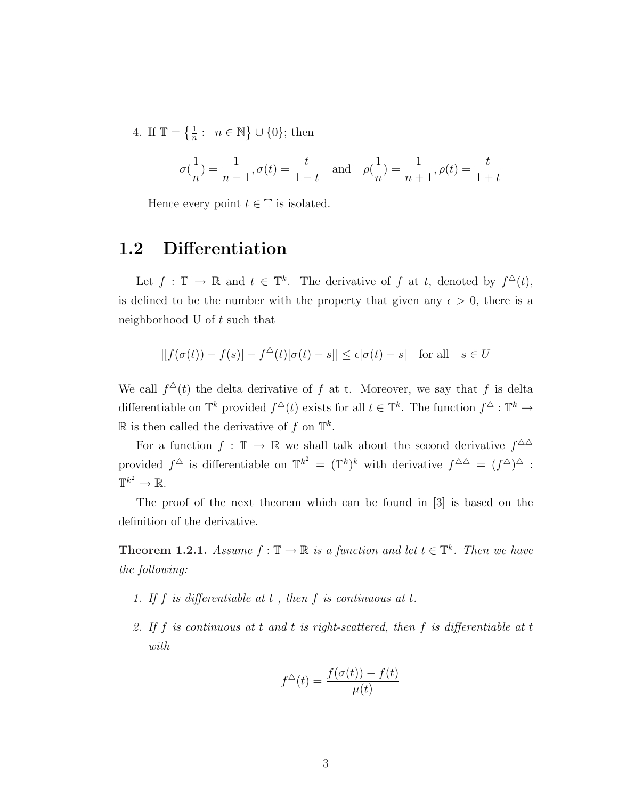4. If  $\mathbb{T} = \{\frac{1}{n}\}$  $\frac{1}{n}$ :  $n \in \mathbb{N}$ ª ∪ {0}; then

$$
\sigma(\frac{1}{n})=\frac{1}{n-1}, \sigma(t)=\frac{t}{1-t} \quad \text{and} \quad \rho(\frac{1}{n})=\frac{1}{n+1}, \rho(t)=\frac{t}{1+t}
$$

Hence every point  $t \in \mathbb{T}$  is isolated.

#### 1.2 Differentiation

Let  $f: \mathbb{T} \to \mathbb{R}$  and  $t \in \mathbb{T}^k$ . The derivative of f at t, denoted by  $f^{\Delta}(t)$ , is defined to be the number with the property that given any  $\epsilon > 0$ , there is a neighborhood U of t such that

$$
| [f(\sigma(t)) - f(s)] - f^{\triangle}(t) [\sigma(t) - s] | \le \epsilon |\sigma(t) - s| \text{ for all } s \in U
$$

We call  $f^{\Delta}(t)$  the delta derivative of f at t. Moreover, we say that f is delta differentiable on  $\mathbb{T}^k$  provided  $f^{\Delta}(t)$  exists for all  $t \in \mathbb{T}^k$ . The function  $f^{\Delta}: \mathbb{T}^k \to$  $\mathbb R$  is then called the derivative of f on  $\mathbb T^k$ .

For a function  $f : \mathbb{T} \to \mathbb{R}$  we shall talk about the second derivative  $f^{\Delta\Delta}$ provided  $f^{\triangle}$  is differentiable on  $\mathbb{T}^{k^2} = (\mathbb{T}^k)^k$  with derivative  $f^{\triangle\triangle} = (f^{\triangle})^{\triangle}$ :  $\mathbb{T}^{k^2}\to\mathbb{R}.$ 

The proof of the next theorem which can be found in [3] is based on the definition of the derivative.

**Theorem 1.2.1.** Assume  $f : \mathbb{T} \to \mathbb{R}$  is a function and let  $t \in \mathbb{T}^k$ . Then we have the following:

- 1. If  $f$  is differentiable at  $t$ , then  $f$  is continuous at  $t$ .
- 2. If f is continuous at t and t is right-scattered, then f is differentiable at t with

$$
f^{\triangle}(t) = \frac{f(\sigma(t)) - f(t)}{\mu(t)}
$$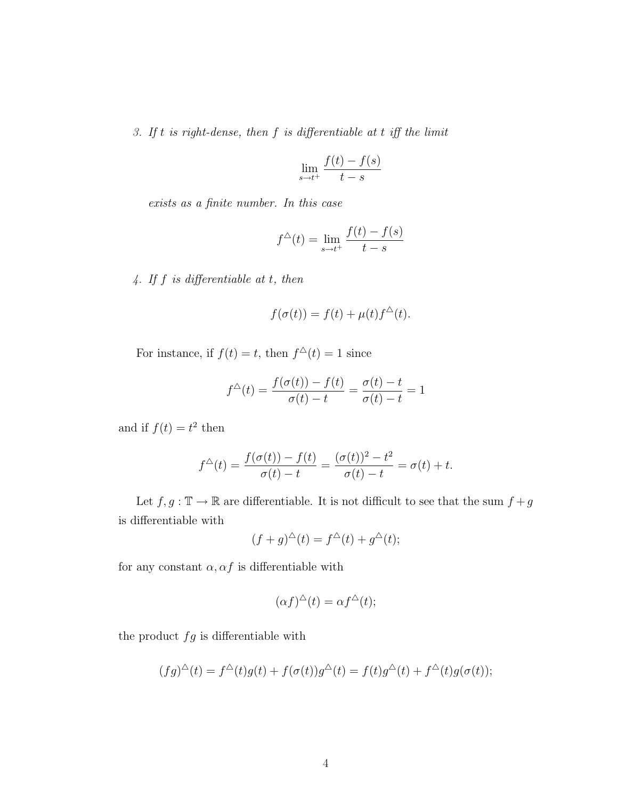3. If  $t$  is right-dense, then  $f$  is differentiable at  $t$  iff the limit

$$
\lim_{s \to t^+} \frac{f(t) - f(s)}{t - s}
$$

exists as a finite number. In this case

$$
f^{\triangle}(t) = \lim_{s \to t^{+}} \frac{f(t) - f(s)}{t - s}
$$

4. If f is differentiable at t, then

$$
f(\sigma(t)) = f(t) + \mu(t)f^{\Delta}(t).
$$

For instance, if  $f(t) = t$ , then  $f^{\Delta}(t) = 1$  since

$$
f^{\triangle}(t) = \frac{f(\sigma(t)) - f(t)}{\sigma(t) - t} = \frac{\sigma(t) - t}{\sigma(t) - t} = 1
$$

and if  $f(t) = t^2$  then

$$
f^{\triangle}(t) = \frac{f(\sigma(t)) - f(t)}{\sigma(t) - t} = \frac{(\sigma(t))^2 - t^2}{\sigma(t) - t} = \sigma(t) + t.
$$

Let  $f,g:\mathbb{T}\rightarrow \mathbb{R}$  are differentiable. It is not difficult to see that the sum  $f+g$ is differentiable with

$$
(f+g)^{\triangle}(t) = f^{\triangle}(t) + g^{\triangle}(t);
$$

for any constant  $\alpha, \alpha f$  is differentiable with

$$
(\alpha f)^{\triangle}(t) = \alpha f^{\triangle}(t);
$$

the product  $fg$  is differentiable with

$$
(fg)^{\triangle}(t) = f^{\triangle}(t)g(t) + f(\sigma(t))g^{\triangle}(t) = f(t)g^{\triangle}(t) + f^{\triangle}(t)g(\sigma(t));
$$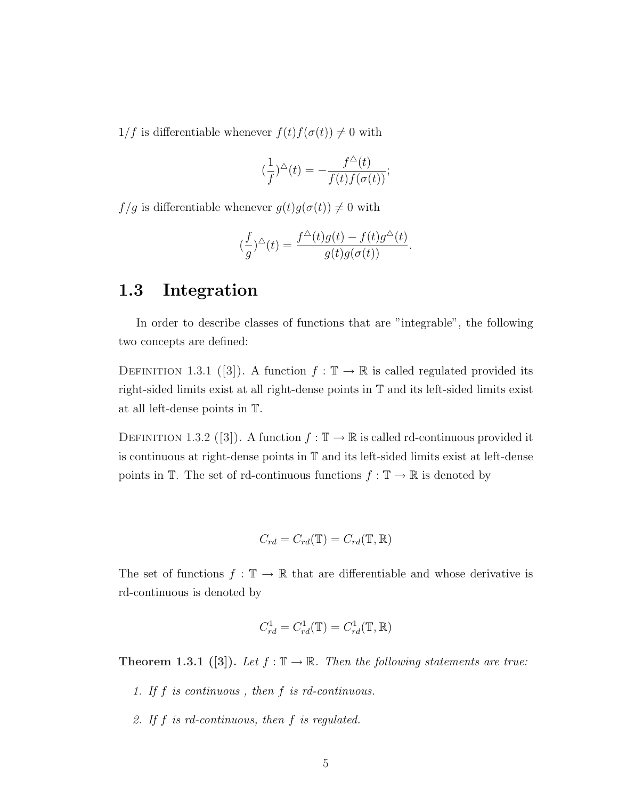$1/f$  is differentiable whenever  $f(t)f(\sigma(t)) \neq 0$  with

$$
(\frac{1}{f})^{\triangle}(t) = -\frac{f^{\triangle}(t)}{f(t)f(\sigma(t))};
$$

 $f/g$  is differentiable whenever  $g(t)g(\sigma(t)) \neq 0$  with

$$
(\frac{f}{g})^{\triangle}(t) = \frac{f^{\triangle}(t)g(t) - f(t)g^{\triangle}(t)}{g(t)g(\sigma(t))}.
$$

#### 1.3 Integration

In order to describe classes of functions that are "integrable", the following two concepts are defined:

DEFINITION 1.3.1 ([3]). A function  $f : \mathbb{T} \to \mathbb{R}$  is called regulated provided its right-sided limits exist at all right-dense points in T and its left-sided limits exist at all left-dense points in T.

DEFINITION 1.3.2 ([3]). A function  $f : \mathbb{T} \to \mathbb{R}$  is called rd-continuous provided it is continuous at right-dense points in T and its left-sided limits exist at left-dense points in  $\mathbb{T}$ . The set of rd-continuous functions  $f : \mathbb{T} \to \mathbb{R}$  is denoted by

$$
C_{rd} = C_{rd}(\mathbb{T}) = C_{rd}(\mathbb{T}, \mathbb{R})
$$

The set of functions  $f : \mathbb{T} \to \mathbb{R}$  that are differentiable and whose derivative is rd-continuous is denoted by

$$
C_{rd}^1 = C_{rd}^1(\mathbb{T}) = C_{rd}^1(\mathbb{T}, \mathbb{R})
$$

Theorem 1.3.1 ([3]). Let  $f : \mathbb{T} \to \mathbb{R}$ . Then the following statements are true:

- 1. If f is continuous , then f is rd-continuous.
- 2. If f is rd-continuous, then f is regulated.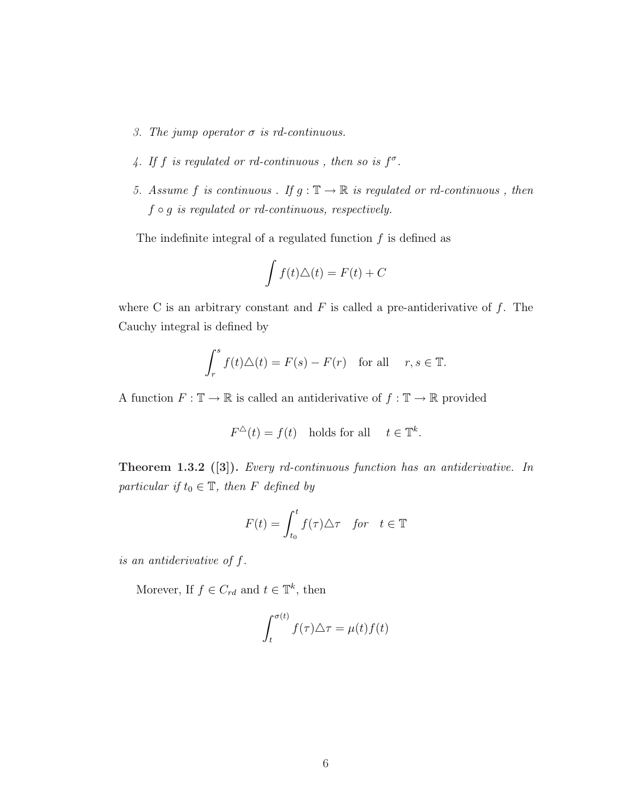- 3. The jump operator  $\sigma$  is rd-continuous.
- 4. If f is regulated or rd-continuous, then so is  $f^{\sigma}$ .
- 5. Assume  $f$  is continuous . If  $g : \mathbb{T} \to \mathbb{R}$  is regulated or rd-continuous , then  $f \circ g$  is regulated or rd-continuous, respectively.

The indefinite integral of a regulated function  $f$  is defined as

$$
\int f(t)\Delta(t) = F(t) + C
$$

where C is an arbitrary constant and  $F$  is called a pre-antiderivative of  $f$ . The Cauchy integral is defined by

$$
\int_r^s f(t)\triangle(t) = F(s) - F(r) \text{ for all } r, s \in \mathbb{T}.
$$

A function  $F:\mathbb{T}\to\mathbb{R}$  is called an antiderivative of  $f:\mathbb{T}\to\mathbb{R}$  provided

$$
F^{\Delta}(t) = f(t) \quad \text{holds for all} \quad t \in \mathbb{T}^k.
$$

Theorem 1.3.2 ([3]). Every rd-continuous function has an antiderivative. In particular if  $t_0 \in \mathbb{T}$ , then F defined by

$$
F(t) = \int_{t_0}^t f(\tau) \triangle \tau \quad \text{for} \quad t \in \mathbb{T}
$$

is an antiderivative of f.

Morever, If  $f \in C_{rd}$  and  $t \in \mathbb{T}^k$ , then

$$
\int_{t}^{\sigma(t)} f(\tau) \triangle \tau = \mu(t) f(t)
$$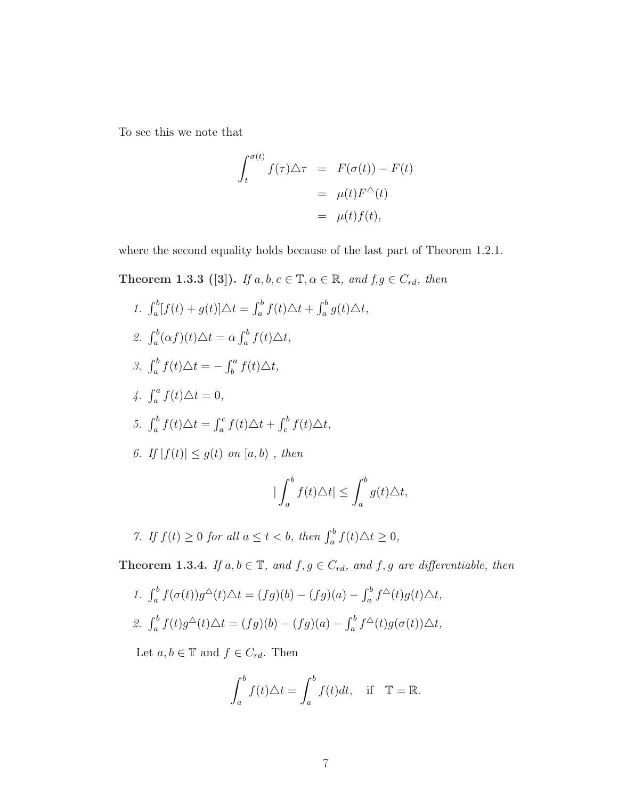To see this we note that

$$
\int_{t}^{\sigma(t)} f(\tau) \triangle \tau = F(\sigma(t)) - F(t)
$$

$$
= \mu(t) F^{\triangle}(t)
$$

$$
= \mu(t) f(t),
$$

where the second equality holds because of the last part of Theorem 1.2.1.

Theorem 1.3.3 ([3]). If  $a, b, c \in \mathbb{T}, \alpha \in \mathbb{R}$ , and  $f, g \in C_{rd}$ , then

1. 
$$
\int_a^b [f(t) + g(t)] \Delta t = \int_a^b f(t) \Delta t + \int_a^b g(t) \Delta t,
$$
  
\n2. 
$$
\int_a^b (\alpha f)(t) \Delta t = \alpha \int_a^b f(t) \Delta t,
$$
  
\n3. 
$$
\int_a^b f(t) \Delta t = -\int_b^a f(t) \Delta t,
$$
  
\n4. 
$$
\int_a^a f(t) \Delta t = 0,
$$
  
\n5. 
$$
\int_a^b f(t) \Delta t = \int_a^c f(t) \Delta t + \int_c^b f(t) \Delta t,
$$
  
\n6. If  $|f(t)| \le g(t)$  on  $[a, b)$ , then  
\n
$$
|\int_a^b f(t) \Delta t| \le \int_a^b g(t) \Delta t,
$$

7. If  $f(t) \ge 0$  for all  $a \le t < b$ , then  $\int_a^b f(t) \Delta t \ge 0$ ,

**Theorem 1.3.4.** If  $a, b \in \mathbb{T}$ , and  $f, g \in C_{rd}$ , and  $f, g$  are differentiable, then

1. 
$$
\int_a^b f(\sigma(t))g^{\Delta}(t)\Delta t = (fg)(b) - (fg)(a) - \int_a^b f^{\Delta}(t)g(t)\Delta t,
$$
  
2. 
$$
\int_a^b f(t)g^{\Delta}(t)\Delta t = (fg)(b) - (fg)(a) - \int_a^b f^{\Delta}(t)g(\sigma(t))\Delta t,
$$

Let  $a, b \in \mathbb{T}$  and  $f \in C_{rd}$ . Then

$$
\int_a^b f(t)\triangle t = \int_a^b f(t)dt, \quad \text{if} \quad \mathbb{T} = \mathbb{R}.
$$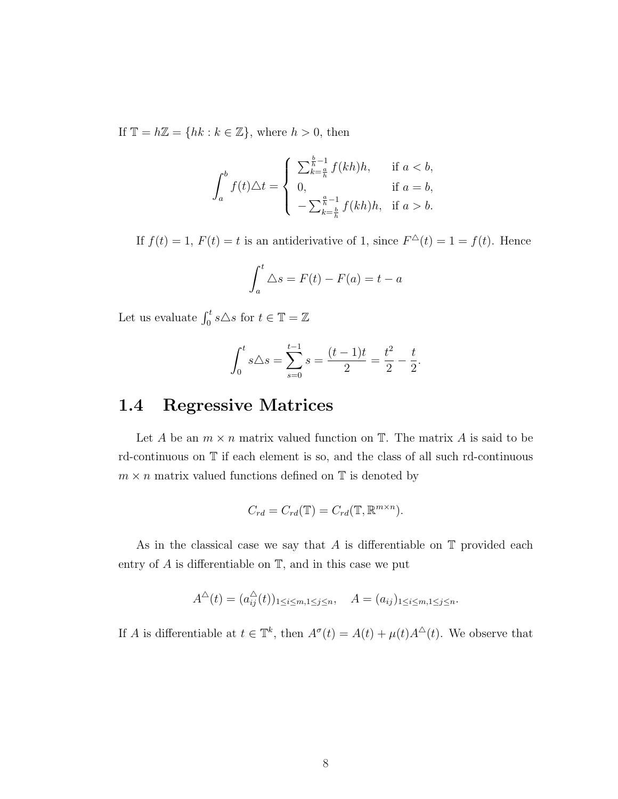If  $\mathbb{T} = h\mathbb{Z} = \{hk : k \in \mathbb{Z}\},\$  where  $h > 0$ , then

$$
\int_a^b f(t)\Delta t = \begin{cases} \sum_{k=\frac{a}{h}}^{\frac{b}{h}-1} f(kh)h, & \text{if } a < b, \\ 0, & \text{if } a = b, \\ -\sum_{k=\frac{b}{h}}^{\frac{a}{h}-1} f(kh)h, & \text{if } a > b. \end{cases}
$$

If  $f(t) = 1$ ,  $F(t) = t$  is an antiderivative of 1, since  $F^{\Delta}(t) = 1 = f(t)$ . Hence

$$
\int_{a}^{t} \Delta s = F(t) - F(a) = t - a
$$

Let us evaluate  $\int_0^t s \triangle s$  for  $t \in \mathbb{T} = \mathbb{Z}$ 

$$
\int_0^t s \Delta s = \sum_{s=0}^{t-1} s = \frac{(t-1)t}{2} = \frac{t^2}{2} - \frac{t}{2}.
$$

#### 1.4 Regressive Matrices

Let A be an  $m \times n$  matrix valued function on  $\mathbb{T}$ . The matrix A is said to be rd-continuous on T if each element is so, and the class of all such rd-continuous  $m \times n$  matrix valued functions defined on  $\mathbb T$  is denoted by

$$
C_{rd} = C_{rd}(\mathbb{T}) = C_{rd}(\mathbb{T}, \mathbb{R}^{m \times n}).
$$

As in the classical case we say that  $A$  is differentiable on  $\mathbb T$  provided each entry of  $A$  is differentiable on  $\mathbb{T}$ , and in this case we put

$$
A^{\Delta}(t) = (a_{ij}^{\Delta}(t))_{1 \le i \le m, 1 \le j \le n}, \quad A = (a_{ij})_{1 \le i \le m, 1 \le j \le n}.
$$

If A is differentiable at  $t \in \mathbb{T}^k$ , then  $A^{\sigma}(t) = A(t) + \mu(t)A^{\Delta}(t)$ . We observe that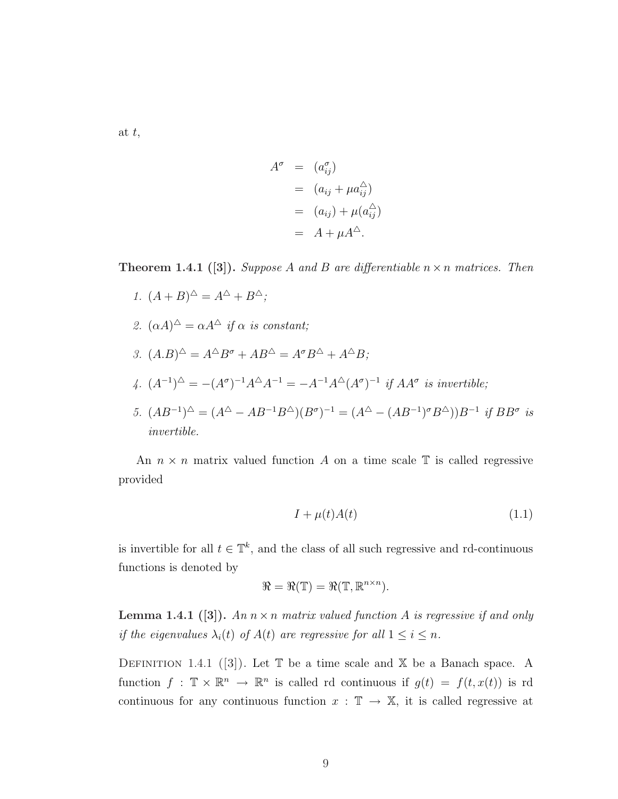at t,

$$
A^{\sigma} = (a^{\sigma}_{ij})
$$
  
=  $(a_{ij} + \mu a^{\hat{\wedge}}_{ij})$   
=  $(a_{ij}) + \mu (a^{\hat{\wedge}}_{ij})$   
=  $A + \mu A^{\hat{\wedge}}$ .

**Theorem 1.4.1** ([3]). Suppose A and B are differentiable  $n \times n$  matrices. Then

- 1.  $(A + B)^{\triangle} = A^{\triangle} + B^{\triangle};$
- 2.  $(\alpha A)^{\triangle} = \alpha A^{\triangle}$  if  $\alpha$  is constant;
- 3.  $(A.B)^{\triangle} = A^{\triangle}B^{\sigma} + AB^{\triangle} = A^{\sigma}B^{\triangle} + A^{\triangle}B;$
- 4.  $(A^{-1})^{\Delta} = -(A^{\sigma})^{-1}A^{\Delta}A^{-1} = -A^{-1}A^{\Delta}(A^{\sigma})^{-1}$  if  $AA^{\sigma}$  is invertible;
- 5.  $(AB^{-1})^{\Delta} = (A^{\Delta} AB^{-1}B^{\Delta})(B^{\sigma})^{-1} = (A^{\Delta} (AB^{-1})^{\sigma}B^{\Delta})B^{-1}$  if  $BB^{\sigma}$  is invertible.

An  $n \times n$  matrix valued function A on a time scale  $\mathbb T$  is called regressive provided

$$
I + \mu(t)A(t) \tag{1.1}
$$

is invertible for all  $t \in \mathbb{T}^k$ , and the class of all such regressive and rd-continuous functions is denoted by

$$
\mathfrak{R} = \mathfrak{R}(\mathbb{T}) = \mathfrak{R}(\mathbb{T}, \mathbb{R}^{n \times n}).
$$

**Lemma 1.4.1** ([3]). An  $n \times n$  matrix valued function A is regressive if and only if the eigenvalues  $\lambda_i(t)$  of  $A(t)$  are regressive for all  $1 \leq i \leq n$ .

DEFINITION 1.4.1 ([3]). Let  $\mathbb T$  be a time scale and  $\mathbb X$  be a Banach space. A function  $f: \mathbb{T} \times \mathbb{R}^n \to \mathbb{R}^n$  is called rd continuous if  $g(t) = f(t, x(t))$  is rd continuous for any continuous function  $x : \mathbb{T} \to \mathbb{X}$ , it is called regressive at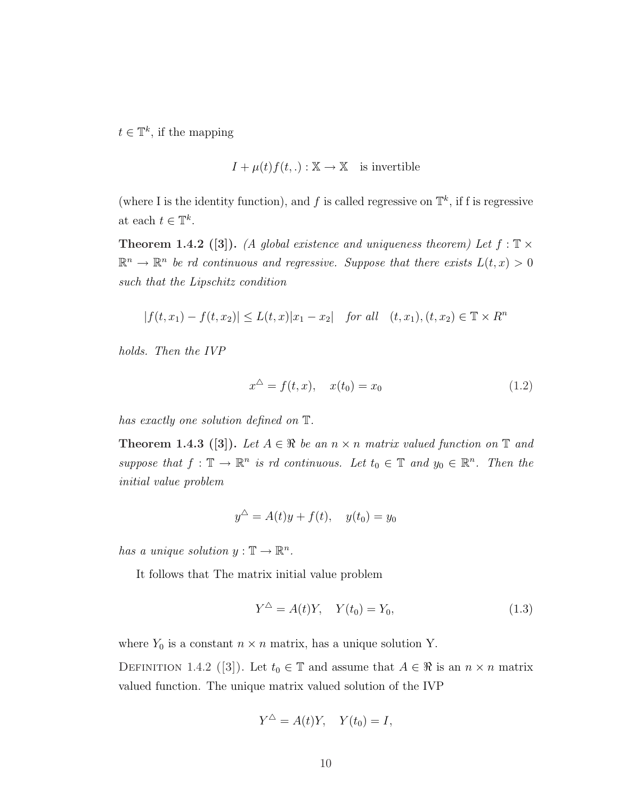$t \in \mathbb{T}^k$ , if the mapping

$$
I + \mu(t)f(t,.) : \mathbb{X} \to \mathbb{X}
$$
 is invertible

(where I is the identity function), and f is called regressive on  $\mathbb{T}^k$ , if f is regressive at each  $t \in \mathbb{T}^k$ .

**Theorem 1.4.2** ([3]). (A global existence and uniqueness theorem) Let  $f : \mathbb{T} \times$  $\mathbb{R}^n \to \mathbb{R}^n$  be rd continuous and regressive. Suppose that there exists  $L(t, x) > 0$ such that the Lipschitz condition

$$
|f(t, x_1) - f(t, x_2)| \le L(t, x)|x_1 - x_2| \quad \text{for all} \quad (t, x_1), (t, x_2) \in \mathbb{T} \times R^n
$$

holds. Then the IVP

$$
x^{\Delta} = f(t, x), \quad x(t_0) = x_0 \tag{1.2}
$$

has exactly one solution defined on T.

**Theorem 1.4.3** ([3]). Let  $A \in \mathbb{R}$  be an  $n \times n$  matrix valued function on  $\mathbb{T}$  and suppose that  $f: \mathbb{T} \to \mathbb{R}^n$  is rd continuous. Let  $t_0 \in \mathbb{T}$  and  $y_0 \in \mathbb{R}^n$ . Then the initial value problem

$$
y^{\Delta} = A(t)y + f(t), \quad y(t_0) = y_0
$$

has a unique solution  $y : \mathbb{T} \to \mathbb{R}^n$ .

It follows that The matrix initial value problem

$$
Y^{\Delta} = A(t)Y, \quad Y(t_0) = Y_0,
$$
\n(1.3)

where  $Y_0$  is a constant  $n \times n$  matrix, has a unique solution Y.

DEFINITION 1.4.2 ([3]). Let  $t_0 \in \mathbb{T}$  and assume that  $A \in \mathbb{R}$  is an  $n \times n$  matrix valued function. The unique matrix valued solution of the IVP

$$
Y^{\triangle} = A(t)Y, \quad Y(t_0) = I,
$$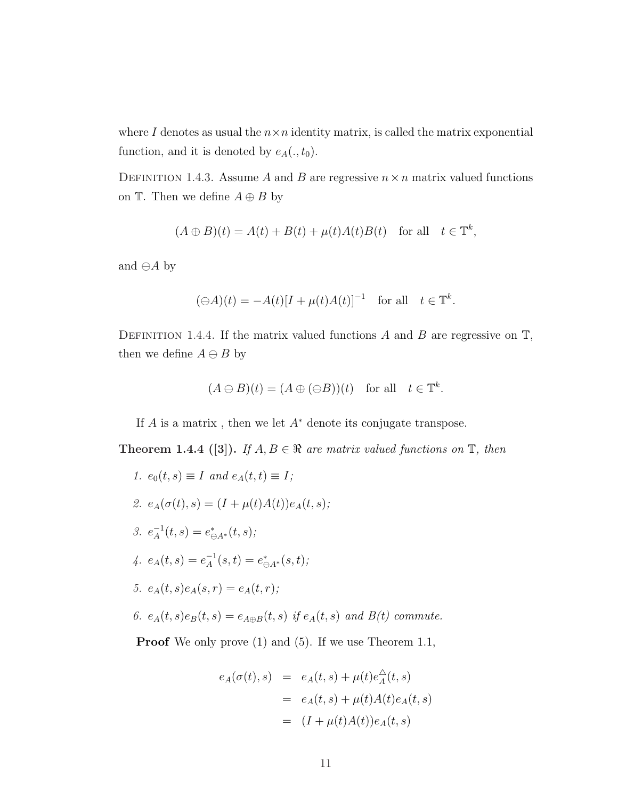where I denotes as usual the  $n \times n$  identity matrix, is called the matrix exponential function, and it is denoted by  $e_A(., t_0)$ .

DEFINITION 1.4.3. Assume A and B are regressive  $n \times n$  matrix valued functions on  $\mathbb{T}$ . Then we define  $A \oplus B$  by

$$
(A \oplus B)(t) = A(t) + B(t) + \mu(t)A(t)B(t) \quad \text{for all} \quad t \in \mathbb{T}^k,
$$

and  $\ominus A$  by

$$
(\ominus A)(t) = -A(t)[I + \mu(t)A(t)]^{-1} \text{ for all } t \in \mathbb{T}^k.
$$

DEFINITION 1.4.4. If the matrix valued functions A and B are regressive on  $\mathbb{T}$ , then we define  $A \ominus B$  by

$$
(A \ominus B)(t) = (A \oplus (\ominus B))(t)
$$
 for all  $t \in \mathbb{T}^k$ .

If A is a matrix, then we let  $A^*$  denote its conjugate transpose.

**Theorem 1.4.4** ([3]). If  $A, B \in \mathbb{R}$  are matrix valued functions on  $\mathbb{T}$ , then

1.  $e_0(t,s) \equiv I$  and  $e_A(t,t) \equiv I$ ; 2.  $e_A(\sigma(t), s) = (I + \mu(t)A(t))e_A(t, s);$ 3.  $e^{-1}_4$  $a^{-1}_A(t,s) = e^*_{\ominus A^*}(t,s);$ 4.  $e_A(t,s) = e_A^{-1}$  $A^{-1}(s,t) = e^*_{\ominus A^*}(s,t);$ 5.  $e_A(t,s)e_A(s,r) = e_A(t,r);$ 6.  $e_A(t, s)e_B(t, s) = e_{A \oplus B}(t, s)$  if  $e_A(t, s)$  and  $B(t)$  commute.

**Proof** We only prove (1) and (5). If we use Theorem 1.1,

$$
e_A(\sigma(t),s) = e_A(t,s) + \mu(t)e_A^{\Delta}(t,s)
$$
  
= 
$$
e_A(t,s) + \mu(t)A(t)e_A(t,s)
$$
  
= 
$$
(I + \mu(t)A(t))e_A(t,s)
$$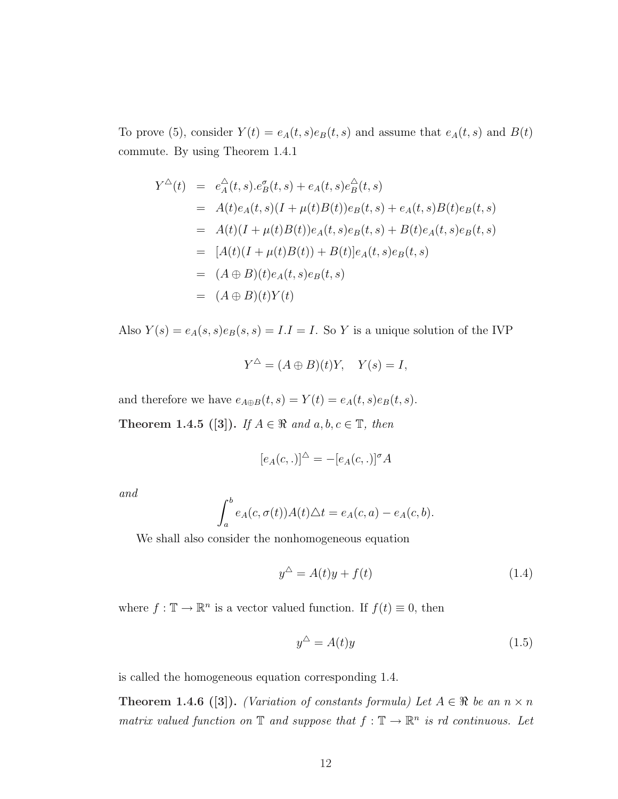To prove (5), consider  $Y(t) = e_A(t, s)e_B(t, s)$  and assume that  $e_A(t, s)$  and  $B(t)$ commute. By using Theorem 1.4.1

$$
Y^{\Delta}(t) = e_A^{\Delta}(t,s).e_B^{\sigma}(t,s) + e_A(t,s)e_B^{\Delta}(t,s)
$$
  
\n
$$
= A(t)e_A(t,s)(I + \mu(t)B(t))e_B(t,s) + e_A(t,s)B(t)e_B(t,s)
$$
  
\n
$$
= A(t)(I + \mu(t)B(t))e_A(t,s)e_B(t,s) + B(t)e_A(t,s)e_B(t,s)
$$
  
\n
$$
= [A(t)(I + \mu(t)B(t)) + B(t)]e_A(t,s)e_B(t,s)
$$
  
\n
$$
= (A \oplus B)(t)e_A(t,s)e_B(t,s)
$$
  
\n
$$
= (A \oplus B)(t)Y(t)
$$

Also  $Y(s) = e_A(s, s)e_B(s, s) = I.I = I$ . So Y is a unique solution of the IVP

$$
Y^{\triangle} = (A \oplus B)(t)Y, \quad Y(s) = I,
$$

and therefore we have  $e_{A\oplus B}(t,s)=Y(t)=e_{A}(t,s)e_{B}(t,s).$ Theorem 1.4.5 ([3]). If  $A \in \mathbb{R}$  and  $a, b, c \in \mathbb{T}$ , then

$$
[e_A(c,.)]^\Delta = -[e_A(c,.)]^\sigma A
$$

and

$$
\int_a^b e_A(c, \sigma(t))A(t)\triangle t = e_A(c, a) - e_A(c, b).
$$

We shall also consider the nonhomogeneous equation

$$
y^{\triangle} = A(t)y + f(t)
$$
\n(1.4)

where  $f: \mathbb{T} \to \mathbb{R}^n$  is a vector valued function. If  $f(t) \equiv 0$ , then

$$
y^{\Delta} = A(t)y \tag{1.5}
$$

is called the homogeneous equation corresponding 1.4.

**Theorem 1.4.6** ([3]). (Variation of constants formula) Let  $A \in \mathbb{R}$  be an  $n \times n$ matrix valued function on  $\mathbb T$  and suppose that  $f : \mathbb T \to \mathbb R^n$  is rd continuous. Let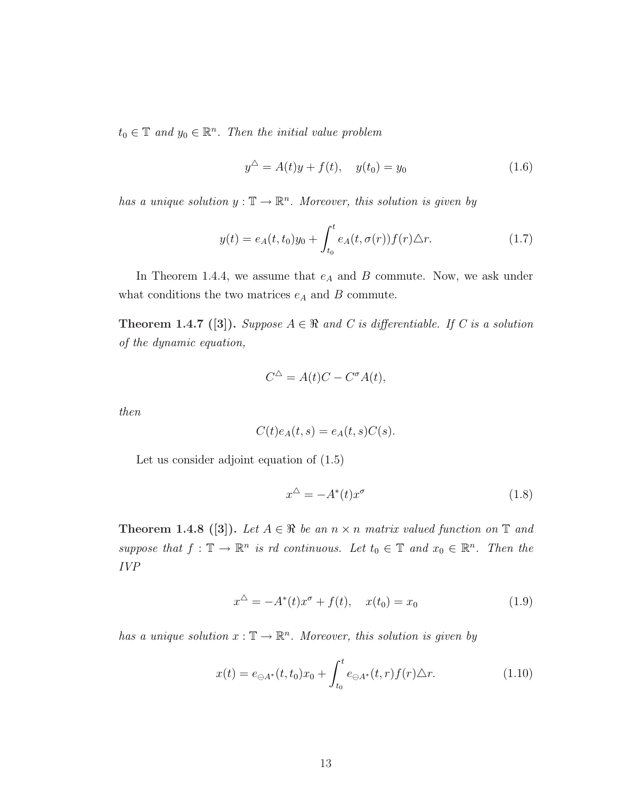$t_0 \in \mathbb{T}$  and  $y_0 \in \mathbb{R}^n$ . Then the initial value problem

$$
y^{\triangle} = A(t)y + f(t), \quad y(t_0) = y_0 \tag{1.6}
$$

has a unique solution  $y : \mathbb{T} \to \mathbb{R}^n$ . Moreover, this solution is given by

$$
y(t) = e_A(t, t_0)y_0 + \int_{t_0}^t e_A(t, \sigma(r)) f(r) \triangle r.
$$
 (1.7)

In Theorem 1.4.4, we assume that  $e_A$  and B commute. Now, we ask under what conditions the two matrices  $e_A$  and B commute.

**Theorem 1.4.7** ([3]). Suppose  $A \in \mathbb{R}$  and C is differentiable. If C is a solution of the dynamic equation,

$$
C^{\Delta} = A(t)C - C^{\sigma}A(t),
$$

then

$$
C(t)eA(t,s) = eA(t,s)C(s).
$$

Let us consider adjoint equation of (1.5)

$$
x^{\triangle} = -A^*(t)x^{\sigma} \tag{1.8}
$$

**Theorem 1.4.8** ([3]). Let  $A \in \mathbb{R}$  be an  $n \times n$  matrix valued function on  $\mathbb{T}$  and suppose that  $f: \mathbb{T} \to \mathbb{R}^n$  is rd continuous. Let  $t_0 \in \mathbb{T}$  and  $x_0 \in \mathbb{R}^n$ . Then the IVP

$$
x^{\Delta} = -A^*(t)x^{\sigma} + f(t), \quad x(t_0) = x_0 \tag{1.9}
$$

has a unique solution  $x : \mathbb{T} \to \mathbb{R}^n$ . Moreover, this solution is given by

$$
x(t) = e_{\ominus A^*}(t, t_0)x_0 + \int_{t_0}^t e_{\ominus A^*}(t, r) f(r) \Delta r.
$$
 (1.10)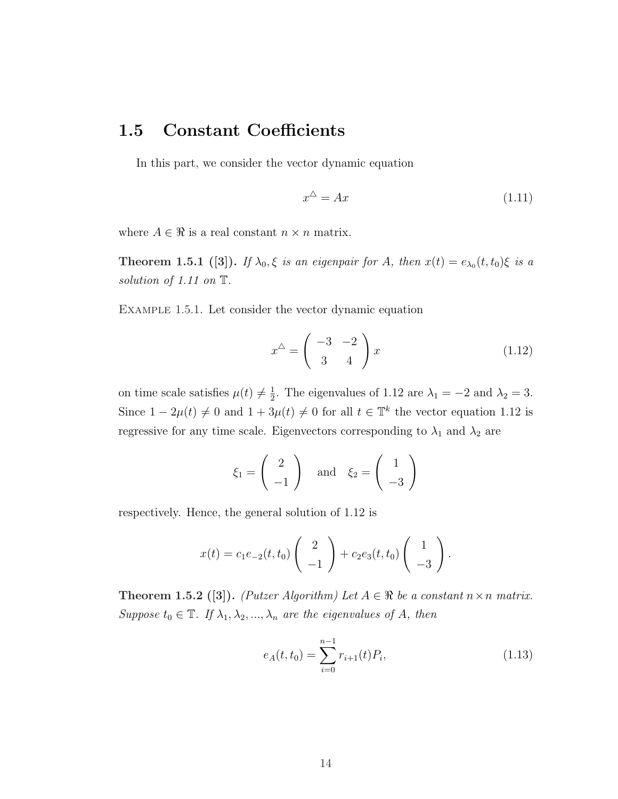#### 1.5 Constant Coefficients

In this part, we consider the vector dynamic equation

$$
x^{\Delta} = Ax \tag{1.11}
$$

where  $A \in \mathbb{R}$  is a real constant  $n \times n$  matrix.

**Theorem 1.5.1** ([3]). If  $\lambda_0$ ,  $\xi$  is an eigenpair for A, then  $x(t) = e_{\lambda_0}(t, t_0) \xi$  is a solution of 1.11 on  $\mathbb T$ .

Example 1.5.1. Let consider the vector dynamic equation

$$
x^{\triangle} = \begin{pmatrix} -3 & -2 \\ 3 & 4 \end{pmatrix} x \tag{1.12}
$$

on time scale satisfies  $\mu(t) \neq \frac{1}{2}$  $\frac{1}{2}$ . The eigenvalues of 1.12 are  $\lambda_1 = -2$  and  $\lambda_2 = 3$ . Since  $1 - 2\mu(t) \neq 0$  and  $1 + 3\mu(t) \neq 0$  for all  $t \in \mathbb{T}^k$  the vector equation 1.12 is regressive for any time scale. Eigenvectors corresponding to  $\lambda_1$  and  $\lambda_2$  are

$$
\xi_1 = \begin{pmatrix} 2 \\ -1 \end{pmatrix} \quad \text{and} \quad \xi_2 = \begin{pmatrix} 1 \\ -3 \end{pmatrix}
$$

respectively. Hence, the general solution of 1.12 is

$$
x(t) = c_1 e_{-2}(t, t_0) \begin{pmatrix} 2 \\ -1 \end{pmatrix} + c_2 e_3(t, t_0) \begin{pmatrix} 1 \\ -3 \end{pmatrix}.
$$

Theorem 1.5.2 ([3]). (Putzer Algorithm) Let  $A \in \mathbb{R}$  be a constant  $n \times n$  matrix. Suppose  $t_0 \in \mathbb{T}$ . If  $\lambda_1, \lambda_2, ..., \lambda_n$  are the eigenvalues of A, then

$$
e_A(t, t_0) = \sum_{i=0}^{n-1} r_{i+1}(t) P_i,
$$
\n(1.13)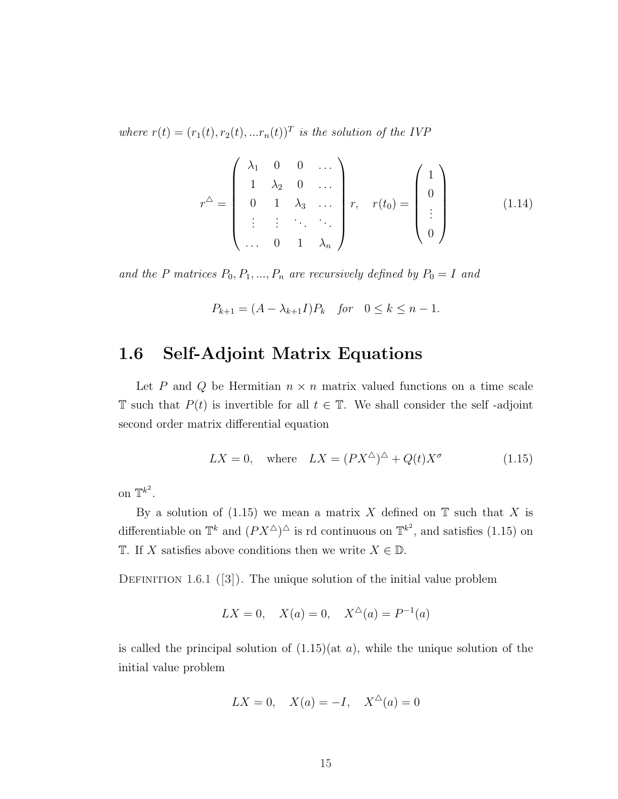where  $r(t) = (r_1(t), r_2(t), ... r_n(t))^T$  is the solution of the IVP

$$
r^{\Delta} = \begin{pmatrix} \lambda_1 & 0 & 0 & \dots \\ 1 & \lambda_2 & 0 & \dots \\ 0 & 1 & \lambda_3 & \dots \\ \vdots & \vdots & \ddots & \ddots \\ 0 & 1 & \lambda_n \end{pmatrix} r, \quad r(t_0) = \begin{pmatrix} 1 \\ 0 \\ \vdots \\ 0 \end{pmatrix}
$$
(1.14)

and the P matrices  $P_0, P_1, ..., P_n$  are recursively defined by  $P_0 = I$  and

$$
P_{k+1} = (A - \lambda_{k+1}I)P_k
$$
 for  $0 \le k \le n - 1$ .

#### 1.6 Self-Adjoint Matrix Equations

Let P and Q be Hermitian  $n \times n$  matrix valued functions on a time scale T such that  $P(t)$  is invertible for all  $t \in \mathbb{T}$ . We shall consider the self-adjoint second order matrix differential equation

$$
LX = 0, \quad \text{where} \quad LX = (PX^{\triangle})^{\triangle} + Q(t)X^{\sigma} \tag{1.15}
$$

on  $\mathbb{T}^{k^2}$ .

By a solution of  $(1.15)$  we mean a matrix X defined on  $\mathbb T$  such that X is differentiable on  $\mathbb{T}^k$  and  $(PX^{\Delta})^{\Delta}$  is rd continuous on  $\mathbb{T}^{k^2}$ , and satisfies (1.15) on T. If X satisfies above conditions then we write  $X \in \mathbb{D}$ .

DEFINITION 1.6.1 ([3]). The unique solution of the initial value problem

$$
LX = 0, \quad X(a) = 0, \quad X^{\Delta}(a) = P^{-1}(a)
$$

is called the principal solution of  $(1.15)(at a)$ , while the unique solution of the initial value problem

$$
LX = 0, \quad X(a) = -I, \quad X^{\triangle}(a) = 0
$$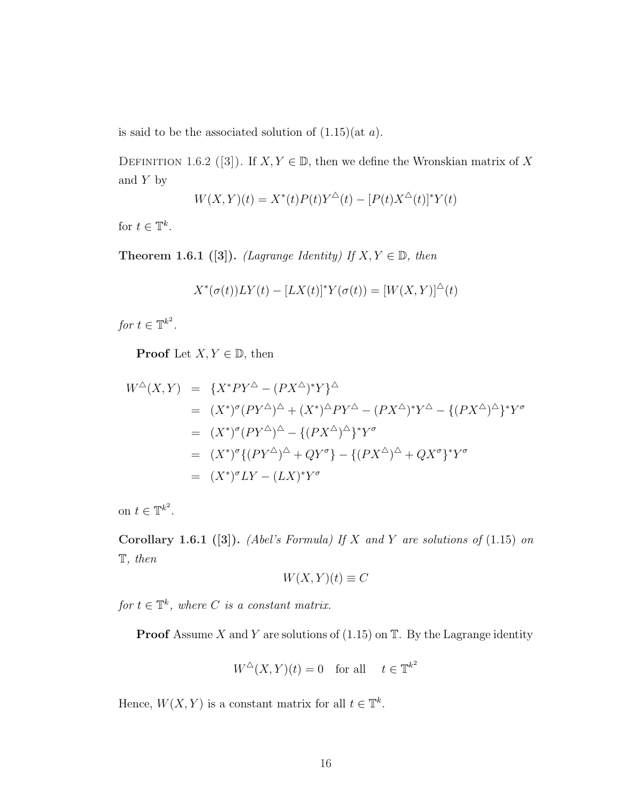is said to be the associated solution of  $(1.15)(at a)$ .

DEFINITION 1.6.2 ([3]). If  $X, Y \in \mathbb{D}$ , then we define the Wronskian matrix of X and  $Y$  by

$$
W(X,Y)(t) = X^*(t)P(t)Y^{\Delta}(t) - [P(t)X^{\Delta}(t)]^*Y(t)
$$

for  $t \in \mathbb{T}^k$ .

Theorem 1.6.1 ([3]). (Lagrange Identity) If  $X, Y \in \mathbb{D}$ , then

$$
X^*(\sigma(t))LY(t) - [LX(t)]^*Y(\sigma(t)) = [W(X,Y)]^{\Delta}(t)
$$

for  $t \in \mathbb{T}^{k^2}$ .

**Proof** Let  $X, Y \in \mathbb{D}$ , then

$$
W^{\Delta}(X,Y) = \{X^*PY^{\Delta} - (PX^{\Delta})^*Y\}^{\Delta}
$$
  
\n
$$
= (X^*)^{\sigma}(PY^{\Delta})^{\Delta} + (X^*)^{\Delta}PY^{\Delta} - (PX^{\Delta})^*Y^{\Delta} - \{(PX^{\Delta})^{\Delta}\}^*Y^{\sigma}
$$
  
\n
$$
= (X^*)^{\sigma}(PY^{\Delta})^{\Delta} - \{(PX^{\Delta})^{\Delta}\}^*Y^{\sigma}
$$
  
\n
$$
= (X^*)^{\sigma}\{(PY^{\Delta})^{\Delta} + QY^{\sigma}\} - \{(PX^{\Delta})^{\Delta} + QX^{\sigma}\}^*Y^{\sigma}
$$
  
\n
$$
= (X^*)^{\sigma}LY - (LX)^*Y^{\sigma}
$$

on  $t \in \mathbb{T}^{k^2}$ .

Corollary 1.6.1 ([3]). (Abel's Formula) If X and Y are solutions of  $(1.15)$  on T, then

$$
W(X,Y)(t) \equiv C
$$

for  $t \in \mathbb{T}^k$ , where C is a constant matrix.

**Proof** Assume X and Y are solutions of  $(1.15)$  on T. By the Lagrange identity

$$
W^{\triangle}(X, Y)(t) = 0 \quad \text{for all} \quad t \in \mathbb{T}^{k^2}
$$

Hence,  $W(X, Y)$  is a constant matrix for all  $t \in \mathbb{T}^k$ .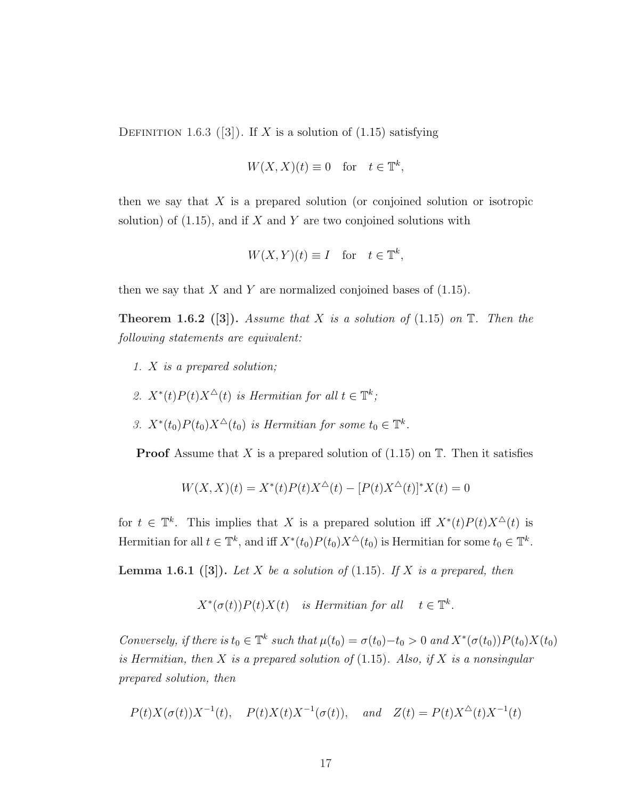DEFINITION 1.6.3 ([3]). If X is a solution of  $(1.15)$  satisfying

$$
W(X, X)(t) \equiv 0 \quad \text{for} \quad t \in \mathbb{T}^k,
$$

then we say that  $X$  is a prepared solution (or conjoined solution or isotropic solution) of  $(1.15)$ , and if X and Y are two conjoined solutions with

$$
W(X, Y)(t) \equiv I \quad \text{for} \quad t \in \mathbb{T}^k,
$$

then we say that  $X$  and  $Y$  are normalized conjoined bases of  $(1.15)$ .

**Theorem 1.6.2** ([3]). Assume that X is a solution of (1.15) on  $\mathbb{T}$ . Then the following statements are equivalent:

- 1. X is a prepared solution;
- 2.  $X^*(t)P(t)X^{\Delta}(t)$  is Hermitian for all  $t \in \mathbb{T}^k$ ;
- 3.  $X^*(t_0)P(t_0)X^{\Delta}(t_0)$  is Hermitian for some  $t_0 \in \mathbb{T}^k$ .

**Proof** Assume that X is a prepared solution of  $(1.15)$  on T. Then it satisfies

$$
W(X, X)(t) = X^*(t)P(t)X^{\Delta}(t) - [P(t)X^{\Delta}(t)]^*X(t) = 0
$$

for  $t \in \mathbb{T}^k$ . This implies that X is a prepared solution iff  $X^*(t)P(t)X^{\Delta}(t)$  is Hermitian for all  $t \in \mathbb{T}^k$ , and iff  $X^*(t_0)P(t_0)X^{\Delta}(t_0)$  is Hermitian for some  $t_0 \in \mathbb{T}^k$ .

**Lemma 1.6.1** ([3]). Let X be a solution of (1.15). If X is a prepared, then

$$
X^*(\sigma(t))P(t)X(t) \quad is \ Hermitian \ for \ all \ \ t \in \mathbb{T}^k.
$$

Conversely, if there is  $t_0 \in \mathbb{T}^k$  such that  $\mu(t_0) = \sigma(t_0) - t_0 > 0$  and  $X^*(\sigma(t_0))P(t_0)X(t_0)$ is Hermitian, then X is a prepared solution of  $(1.15)$ . Also, if X is a nonsingular prepared solution, then

$$
P(t)X(\sigma(t))X^{-1}(t)
$$
,  $P(t)X(t)X^{-1}(\sigma(t))$ , and  $Z(t) = P(t)X^{\Delta}(t)X^{-1}(t)$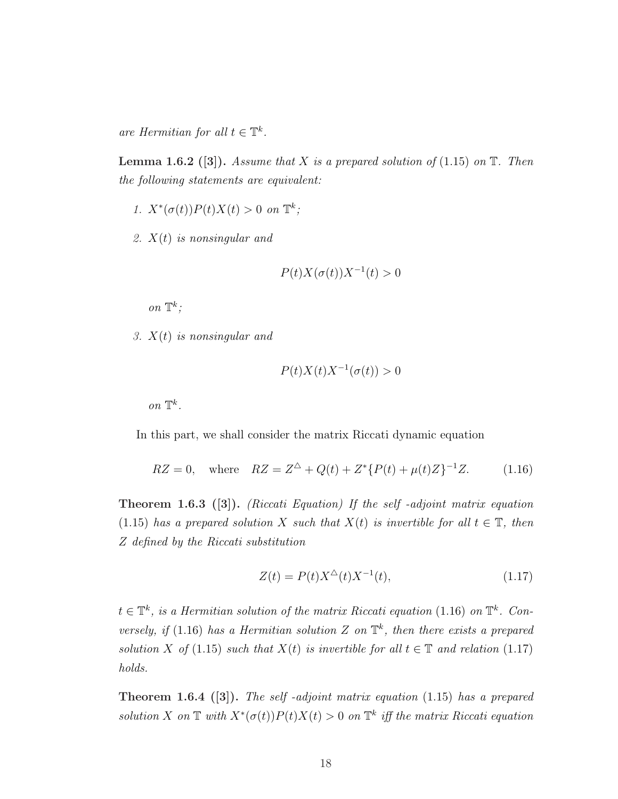are Hermitian for all  $t \in \mathbb{T}^k$ .

**Lemma 1.6.2** ([3]). Assume that X is a prepared solution of (1.15) on  $\mathbb{T}$ . Then the following statements are equivalent:

- 1.  $X^*(\sigma(t))P(t)X(t) > 0$  on  $\mathbb{T}^k$ ;
- 2.  $X(t)$  is nonsingular and

$$
P(t)X(\sigma(t))X^{-1}(t) > 0
$$

on  $\mathbb{T}^k$ ;

3.  $X(t)$  is nonsingular and

$$
P(t)X(t)X^{-1}(\sigma(t)) > 0
$$

on  $\mathbb{T}^k$ .

In this part, we shall consider the matrix Riccati dynamic equation

$$
RZ = 0, \quad \text{where} \quad RZ = Z^{\Delta} + Q(t) + Z^* \{ P(t) + \mu(t)Z \}^{-1} Z. \tag{1.16}
$$

Theorem 1.6.3 ([3]). (Riccati Equation) If the self -adjoint matrix equation (1.15) has a prepared solution X such that  $X(t)$  is invertible for all  $t \in \mathbb{T}$ , then Z defined by the Riccati substitution

$$
Z(t) = P(t)X^{\Delta}(t)X^{-1}(t),
$$
\n(1.17)

 $t \in \mathbb{T}^k$ , is a Hermitian solution of the matrix Riccati equation (1.16) on  $\mathbb{T}^k$ . Conversely, if (1.16) has a Hermitian solution Z on  $\mathbb{T}^k$ , then there exists a prepared solution X of (1.15) such that  $X(t)$  is invertible for all  $t \in \mathbb{T}$  and relation (1.17) holds.

**Theorem 1.6.4** ([3]). The self-adjoint matrix equation  $(1.15)$  has a prepared solution X on  $\mathbb T$  with  $X^*(\sigma(t))P(t)X(t) > 0$  on  $\mathbb T^k$  iff the matrix Riccati equation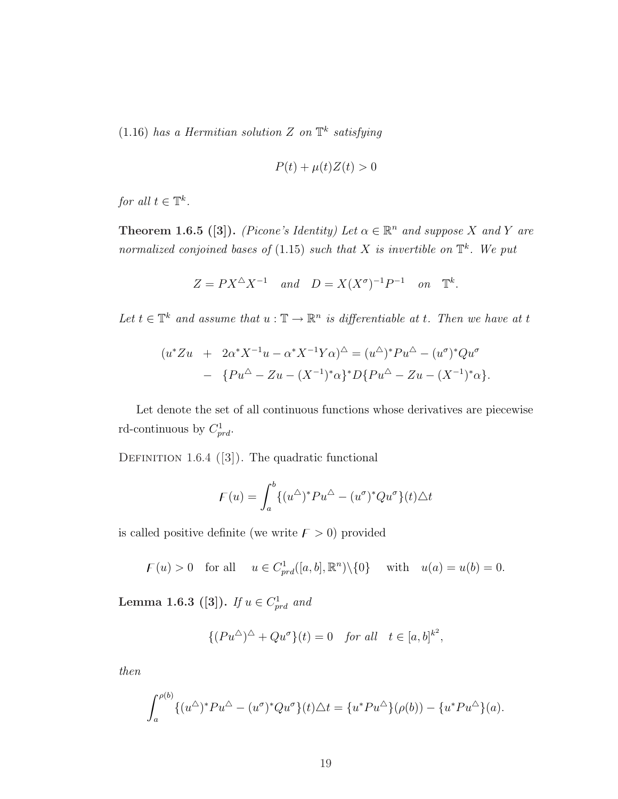$(1.16)$  has a Hermitian solution Z on  $\mathbb{T}^k$  satisfying

$$
P(t) + \mu(t)Z(t) > 0
$$

for all  $t \in \mathbb{T}^k$ .

**Theorem 1.6.5** ([3]). (Picone's Identity) Let  $\alpha \in \mathbb{R}^n$  and suppose X and Y are normalized conjoined bases of (1.15) such that X is invertible on  $\mathbb{T}^k$ . We put

$$
Z = PX^{\triangle}X^{-1} \quad and \quad D = X(X^{\sigma})^{-1}P^{-1} \quad on \quad \mathbb{T}^{k}.
$$

Let  $t \in \mathbb{T}^k$  and assume that  $u : \mathbb{T} \to \mathbb{R}^n$  is differentiable at t. Then we have at t

$$
(u^*Zu + 2\alpha^*X^{-1}u - \alpha^*X^{-1}Y\alpha)^{\triangle} = (u^{\triangle})^*Pu^{\triangle} - (u^{\sigma})^*Qu^{\sigma}
$$

$$
- \{Pu^{\triangle} - Zu - (X^{-1})^*\alpha\}^*D\{Pu^{\triangle} - Zu - (X^{-1})^*\alpha\}.
$$

Let denote the set of all continuous functions whose derivatives are piecewise rd-continuous by  $C_{prd}^1$ .

DEFINITION 1.6.4  $([3])$ . The quadratic functional

$$
\mathcal{F}(u) = \int_a^b \{ (u^{\Delta})^* P u^{\Delta} - (u^{\sigma})^* Q u^{\sigma} \} (t) \Delta t
$$

is called positive definite (we write  $F > 0$ ) provided

 $F(u) > 0$  for all  $u \in C_{prd}^1([a, b], \mathbb{R}^n) \setminus \{0\}$  with  $u(a) = u(b) = 0$ .

Lemma 1.6.3 ([3]). If  $u \in C_{prd}^1$  and

$$
\{(Pu^{\triangle})^{\triangle} + Qu^{\sigma}\}(t) = 0 \quad \text{for all} \quad t \in [a, b]^{k^2},
$$

then

$$
\int_{a}^{\rho(b)} \{ (u^{\Delta})^* P u^{\Delta} - (u^{\sigma})^* Q u^{\sigma} \} (t) \Delta t = \{ u^* P u^{\Delta} \} (\rho(b)) - \{ u^* P u^{\Delta} \} (a).
$$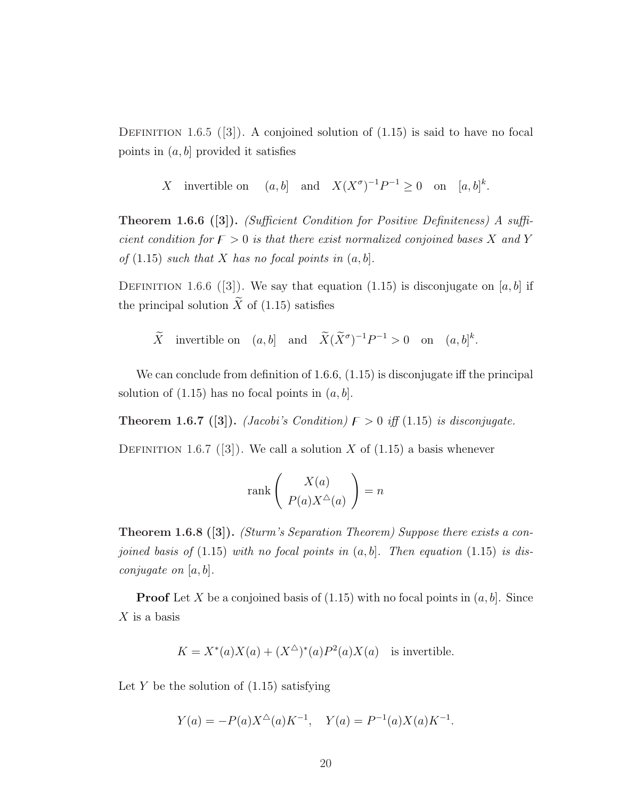DEFINITION 1.6.5 ([3]). A conjoined solution of  $(1.15)$  is said to have no focal points in  $(a, b]$  provided it satisfies

X invertible on  $(a, b]$  and  $X(X^{\sigma})^{-1}P^{-1} \ge 0$  on  $[a, b]^{k}$ .

Theorem 1.6.6 ([3]). (Sufficient Condition for Positive Definiteness) A sufficient condition for  $F > 0$  is that there exist normalized conjoined bases X and Y of  $(1.15)$  such that X has no focal points in  $(a, b]$ .

DEFINITION 1.6.6 ([3]). We say that equation (1.15) is disconjugate on [a, b] if the principal solution  $\widetilde{X}$  of (1.15) satisfies

 $\widetilde{X}$  invertible on  $(a, b]$  and  $\widetilde{X}(\widetilde{X}^{\sigma})^{-1}P^{-1} > 0$  on  $(a, b]^{k}$ .

We can conclude from definition of 1.6.6,  $(1.15)$  is disconjugate iff the principal solution of  $(1.15)$  has no focal points in  $(a, b]$ .

**Theorem 1.6.7** ([3]). (*Jacobi's Condition*)  $F > 0$  iff (1.15) is disconjugate.

DEFINITION 1.6.7 ([3]). We call a solution X of  $(1.15)$  a basis whenever

$$
rank \left( \begin{array}{c} X(a) \\ P(a)X^\triangle(a) \end{array} \right) = n
$$

Theorem 1.6.8 ([3]). (Sturm's Separation Theorem) Suppose there exists a conjoined basis of  $(1.15)$  with no focal points in  $(a, b]$ . Then equation  $(1.15)$  is dis*conjugate on*  $[a, b]$ .

**Proof** Let X be a conjoined basis of  $(1.15)$  with no focal points in  $(a, b]$ . Since  $X$  is a basis

$$
K = X^*(a)X(a) + (X^{\triangle})^*(a)P^2(a)X(a)
$$
 is invertible.

Let Y be the solution of  $(1.15)$  satisfying

$$
Y(a) = -P(a)X^{\triangle}(a)K^{-1}, \quad Y(a) = P^{-1}(a)X(a)K^{-1}.
$$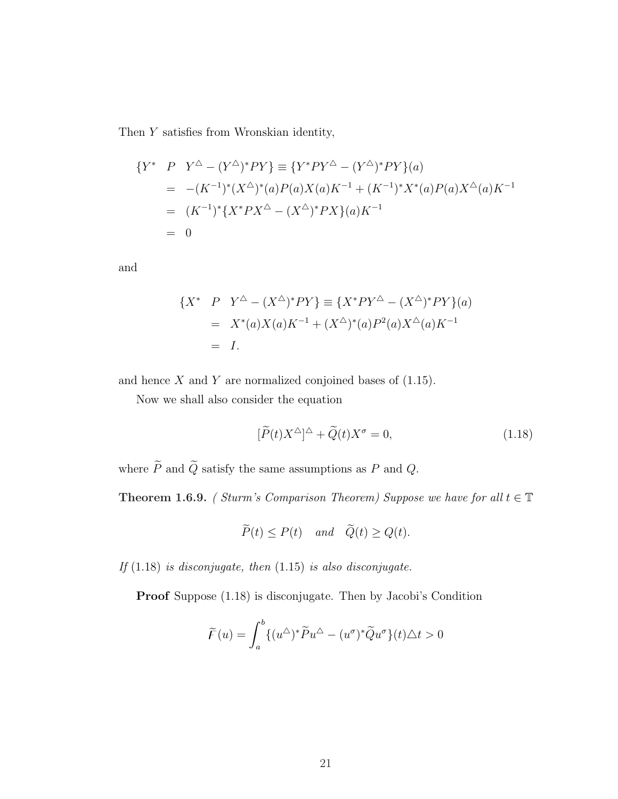Then Y satisfies from Wronskian identity,

$$
\begin{aligned} \{Y^* \quad P \quad Y^{\Delta} - (Y^{\Delta})^* PY \} &\equiv \{ Y^* PY^{\Delta} - (Y^{\Delta})^* PY \} (a) \\ &= -(K^{-1})^* (X^{\Delta})^* (a) P(a) X(a) K^{-1} + (K^{-1})^* X^* (a) P(a) X^{\Delta} (a) K^{-1} \\ &= (K^{-1})^* \{ X^* PX^{\Delta} - (X^{\Delta})^* PX \} (a) K^{-1} \\ &= 0 \end{aligned}
$$

and

$$
\{X^* \quad P \quad Y^{\Delta} - (X^{\Delta})^* PY\} \equiv \{X^* PY^{\Delta} - (X^{\Delta})^* PY\}(a)
$$
  
=  $X^*(a)X(a)K^{-1} + (X^{\Delta})^*(a)P^2(a)X^{\Delta}(a)K^{-1}$   
= I.

and hence  $X$  and  $Y$  are normalized conjoined bases of  $(1.15)$ .

Now we shall also consider the equation

$$
[\widetilde{P}(t)X^{\Delta}]^{\Delta} + \widetilde{Q}(t)X^{\sigma} = 0, \qquad (1.18)
$$

where  $\widetilde{P}$  and  $\widetilde{Q}$  satisfy the same assumptions as  $P$  and  $Q.$ 

**Theorem 1.6.9.** ( Sturm's Comparison Theorem) Suppose we have for all  $t \in \mathbb{T}$ 

$$
\widetilde{P}(t) \le P(t) \quad and \quad \widetilde{Q}(t) \ge Q(t).
$$

If  $(1.18)$  is disconjugate, then  $(1.15)$  is also disconjugate.

Proof Suppose (1.18) is disconjugate. Then by Jacobi's Condition

$$
\widetilde{F}(u) = \int_a^b \{ (u^{\Delta})^* \widetilde{P} u^{\Delta} - (u^{\sigma})^* \widetilde{Q} u^{\sigma} \} (t) \Delta t > 0
$$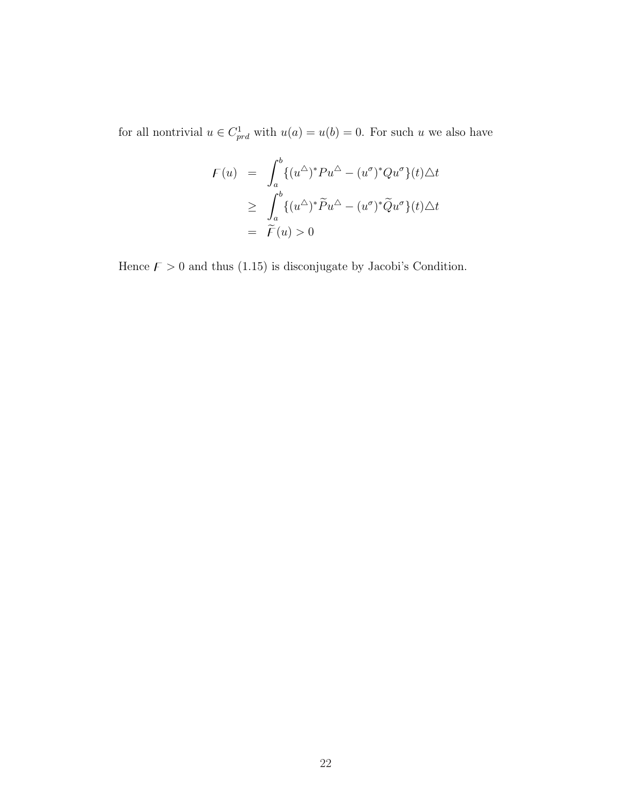for all nontrivial  $u \in C_{prd}^{1}$  with  $u(a) = u(b) = 0$ . For such u we also have

$$
F(u) = \int_a^b \{ (u^{\Delta})^* P u^{\Delta} - (u^{\sigma})^* Q u^{\sigma} \} (t) \Delta t
$$
  
\n
$$
\geq \int_a^b \{ (u^{\Delta})^* \tilde{P} u^{\Delta} - (u^{\sigma})^* \tilde{Q} u^{\sigma} \} (t) \Delta t
$$
  
\n
$$
= \tilde{F}(u) > 0
$$

Hence  $F > 0$  and thus (1.15) is disconjugate by Jacobi's Condition.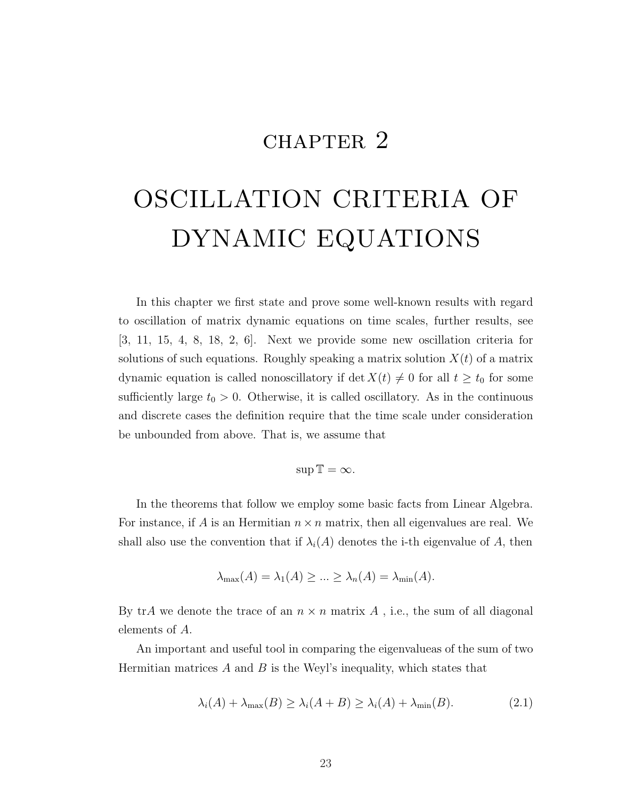# CHAPTER 2

# OSCILLATION CRITERIA OF DYNAMIC EQUATIONS

In this chapter we first state and prove some well-known results with regard to oscillation of matrix dynamic equations on time scales, further results, see [3, 11, 15, 4, 8, 18, 2, 6]. Next we provide some new oscillation criteria for solutions of such equations. Roughly speaking a matrix solution  $X(t)$  of a matrix dynamic equation is called nonoscillatory if det  $X(t) \neq 0$  for all  $t \geq t_0$  for some sufficiently large  $t_0 > 0$ . Otherwise, it is called oscillatory. As in the continuous and discrete cases the definition require that the time scale under consideration be unbounded from above. That is, we assume that

$$
\sup \mathbb{T} = \infty.
$$

In the theorems that follow we employ some basic facts from Linear Algebra. For instance, if A is an Hermitian  $n \times n$  matrix, then all eigenvalues are real. We shall also use the convention that if  $\lambda_i(A)$  denotes the i-th eigenvalue of A, then

$$
\lambda_{\max}(A) = \lambda_1(A) \ge \dots \ge \lambda_n(A) = \lambda_{\min}(A).
$$

By trA we denote the trace of an  $n \times n$  matrix A, i.e., the sum of all diagonal elements of A.

An important and useful tool in comparing the eigenvalueas of the sum of two Hermitian matrices  $A$  and  $B$  is the Weyl's inequality, which states that

$$
\lambda_i(A) + \lambda_{\max}(B) \ge \lambda_i(A + B) \ge \lambda_i(A) + \lambda_{\min}(B). \tag{2.1}
$$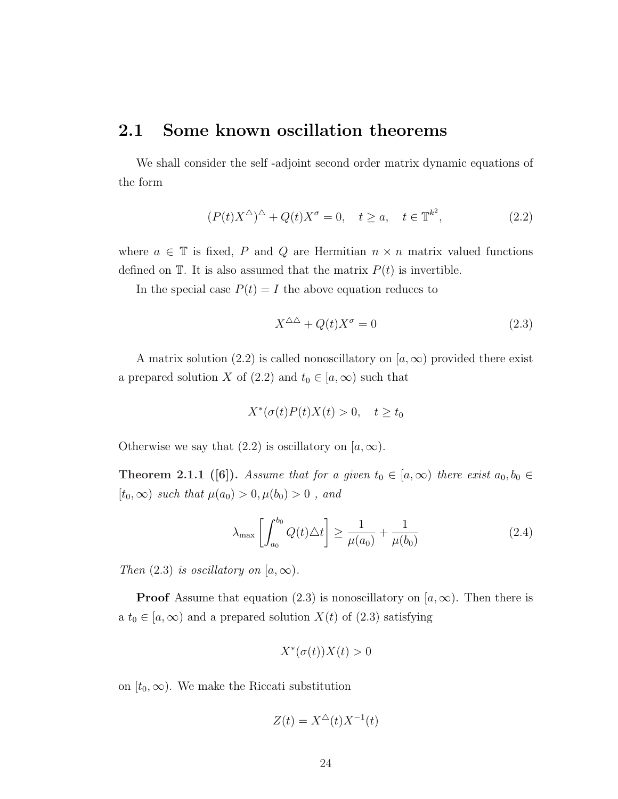## 2.1 Some known oscillation theorems

We shall consider the self -adjoint second order matrix dynamic equations of the form

$$
(P(t)X^{\Delta})^{\Delta} + Q(t)X^{\sigma} = 0, \quad t \ge a, \quad t \in \mathbb{T}^{k^2},
$$
\n(2.2)

where  $a \in \mathbb{T}$  is fixed, P and Q are Hermitian  $n \times n$  matrix valued functions defined on  $T$ . It is also assumed that the matrix  $P(t)$  is invertible.

In the special case  $P(t) = I$  the above equation reduces to

$$
X^{\Delta\Delta} + Q(t)X^{\sigma} = 0\tag{2.3}
$$

A matrix solution (2.2) is called nonoscillatory on  $(a, \infty)$  provided there exist a prepared solution X of (2.2) and  $t_0 \in [a, \infty)$  such that

$$
X^*(\sigma(t)P(t)X(t) > 0, \quad t \ge t_0
$$

Otherwise we say that  $(2.2)$  is oscillatory on  $[a,\infty)$ .

**Theorem 2.1.1** ([6]). Assume that for a given  $t_0 \in [a, \infty)$  there exist  $a_0, b_0 \in$  $[t_0, \infty)$  such that  $\mu(a_0) > 0, \mu(b_0) > 0$ , and

$$
\lambda_{\max} \left[ \int_{a_0}^{b_0} Q(t) \Delta t \right] \ge \frac{1}{\mu(a_0)} + \frac{1}{\mu(b_0)} \tag{2.4}
$$

Then  $(2.3)$  is oscillatory on  $[a,\infty)$ .

**Proof** Assume that equation (2.3) is nonoscillatory on [ $a, \infty$ ). Then there is a  $t_0 \in [a, \infty)$  and a prepared solution  $X(t)$  of  $(2.3)$  satisfying

$$
X^*(\sigma(t))X(t)>0
$$

on  $[t_0, \infty)$ . We make the Riccati substitution

$$
Z(t) = X^{\triangle}(t)X^{-1}(t)
$$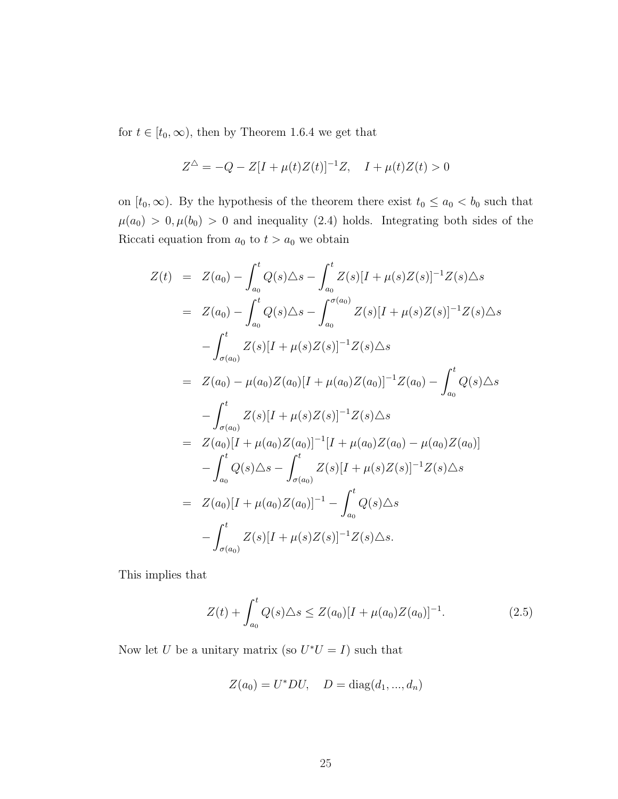for  $t \in [t_0, \infty)$ , then by Theorem 1.6.4 we get that

$$
Z^{\triangle} = -Q - Z[I + \mu(t)Z(t)]^{-1}Z, \quad I + \mu(t)Z(t) > 0
$$

on  $[t_0, \infty)$ . By the hypothesis of the theorem there exist  $t_0 \leq a_0 < b_0$  such that  $\mu(a_0) > 0, \mu(b_0) > 0$  and inequality (2.4) holds. Integrating both sides of the Riccati equation from  $a_0$  to  $t > a_0$  we obtain

$$
Z(t) = Z(a_0) - \int_{a_0}^t Q(s) \Delta s - \int_{a_0}^t Z(s)[I + \mu(s)Z(s)]^{-1}Z(s)\Delta s
$$
  
\n
$$
= Z(a_0) - \int_{a_0}^t Q(s) \Delta s - \int_{a_0}^{\sigma(a_0)} Z(s)[I + \mu(s)Z(s)]^{-1}Z(s)\Delta s
$$
  
\n
$$
- \int_{\sigma(a_0)}^t Z(s)[I + \mu(s)Z(s)]^{-1}Z(s)\Delta s
$$
  
\n
$$
= Z(a_0) - \mu(a_0)Z(a_0)[I + \mu(a_0)Z(a_0)]^{-1}Z(a_0) - \int_{a_0}^t Q(s)\Delta s
$$
  
\n
$$
- \int_{\sigma(a_0)}^t Z(s)[I + \mu(s)Z(s)]^{-1}Z(s)\Delta s
$$
  
\n
$$
= Z(a_0)[I + \mu(a_0)Z(a_0)]^{-1}[I + \mu(a_0)Z(a_0) - \mu(a_0)Z(a_0)]
$$
  
\n
$$
- \int_{a_0}^t Q(s)\Delta s - \int_{\sigma(a_0)}^t Z(s)[I + \mu(s)Z(s)]^{-1}Z(s)\Delta s
$$
  
\n
$$
= Z(a_0)[I + \mu(a_0)Z(a_0)]^{-1} - \int_{a_0}^t Q(s)\Delta s
$$
  
\n
$$
- \int_{\sigma(a_0)}^t Z(s)[I + \mu(s)Z(s)]^{-1}Z(s)\Delta s.
$$

This implies that

$$
Z(t) + \int_{a_0}^t Q(s) \Delta s \le Z(a_0)[I + \mu(a_0)Z(a_0)]^{-1}.
$$
 (2.5)

Now let U be a unitary matrix (so  $U^*U = I$ ) such that

$$
Z(a_0) = U^*DU, \quad D = \text{diag}(d_1, \dots, d_n)
$$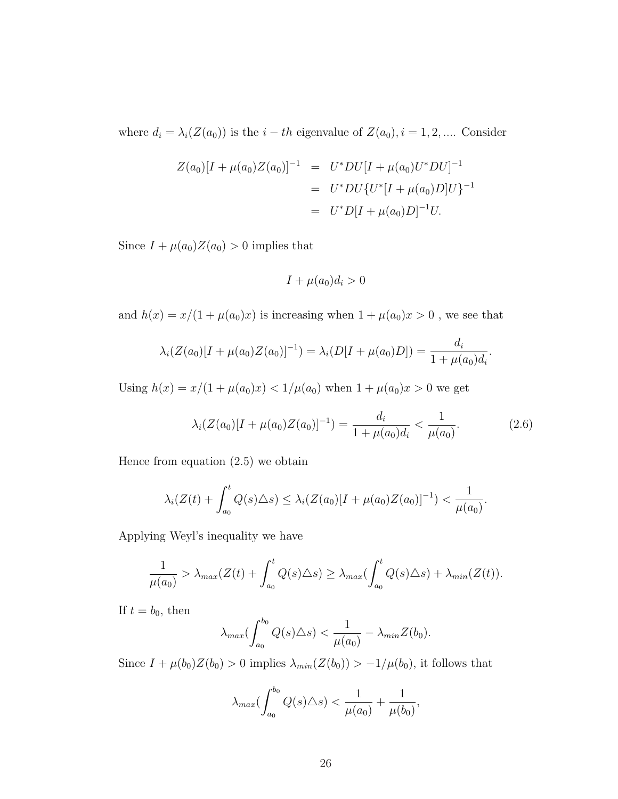where  $d_i = \lambda_i(Z(a_0))$  is the  $i - th$  eigenvalue of  $Z(a_0), i = 1, 2, ....$  Consider

$$
Z(a_0)[I + \mu(a_0)Z(a_0)]^{-1} = U^*DU[I + \mu(a_0)U^*DU]^{-1}
$$
  
= U^\*DU{U^\*[I + \mu(a\_0)D]U}^{-1}  
= U^\*D[I + \mu(a\_0)D]^{-1}U.

Since  $I + \mu(a_0)Z(a_0) > 0$  implies that

$$
I + \mu(a_0)d_i > 0
$$

and  $h(x) = x/(1 + \mu(a_0)x)$  is increasing when  $1 + \mu(a_0)x > 0$ , we see that

$$
\lambda_i(Z(a_0)[I + \mu(a_0)Z(a_0)]^{-1}) = \lambda_i(D[I + \mu(a_0)D]) = \frac{d_i}{1 + \mu(a_0)d_i}.
$$

Using  $h(x) = x/(1 + \mu(a_0)x) < 1/\mu(a_0)$  when  $1 + \mu(a_0)x > 0$  we get

$$
\lambda_i(Z(a_0)[I + \mu(a_0)Z(a_0)]^{-1}) = \frac{d_i}{1 + \mu(a_0)d_i} < \frac{1}{\mu(a_0)}.\tag{2.6}
$$

Hence from equation  $(2.5)$  we obtain

$$
\lambda_i(Z(t) + \int_{a_0}^t Q(s) \triangle s) \leq \lambda_i(Z(a_0)[I + \mu(a_0)Z(a_0)]^{-1}) < \frac{1}{\mu(a_0)}.
$$

Applying Weyl's inequality we have

$$
\frac{1}{\mu(a_0)} > \lambda_{max}(Z(t) + \int_{a_0}^t Q(s) \triangle s) \geq \lambda_{max}(\int_{a_0}^t Q(s) \triangle s) + \lambda_{min}(Z(t)).
$$

If  $t = b_0$ , then

$$
\lambda_{max}(\int_{a_0}^{b_0} Q(s) \triangle s) < \frac{1}{\mu(a_0)} - \lambda_{min} Z(b_0).
$$

Since  $I + \mu(b_0)Z(b_0) > 0$  implies  $\lambda_{min}(Z(b_0)) > -1/\mu(b_0)$ , it follows that

$$
\lambda_{max}(\int_{a_0}^{b_0} Q(s) \triangle s) < \frac{1}{\mu(a_0)} + \frac{1}{\mu(b_0)},
$$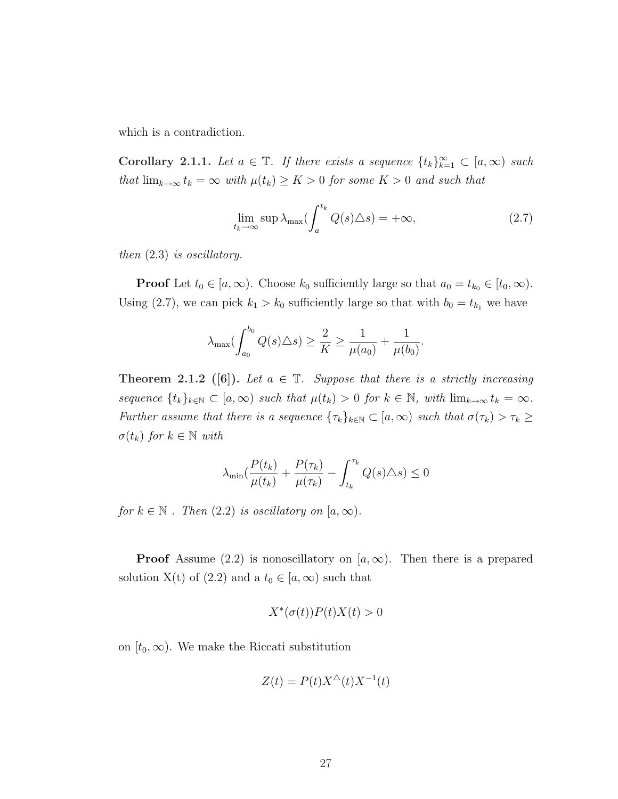which is a contradiction.

Corollary 2.1.1. Let  $a \in \mathbb{T}$ . If there exists a sequence  $\{t_k\}_{k=1}^{\infty} \subset [a,\infty)$  such that  $\lim_{k\to\infty} t_k = \infty$  with  $\mu(t_k) \geq K > 0$  for some  $K > 0$  and such that

$$
\lim_{t_k \to \infty} \sup \lambda_{\max} (\int_a^{t_k} Q(s) \Delta s) = +\infty, \tag{2.7}
$$

then (2.3) is oscillatory.

**Proof** Let  $t_0 \in [a, \infty)$ . Choose  $k_0$  sufficiently large so that  $a_0 = t_{k_0} \in [t_0, \infty)$ . Using (2.7), we can pick  $k_1 > k_0$  sufficiently large so that with  $b_0 = t_{k_1}$  we have

$$
\lambda_{\max}(\int_{a_0}^{b_0} Q(s) \triangle s) \ge \frac{2}{K} \ge \frac{1}{\mu(a_0)} + \frac{1}{\mu(b_0)}.
$$

**Theorem 2.1.2** ([6]). Let  $a \in \mathbb{T}$ . Suppose that there is a strictly increasing sequence  $\{t_k\}_{k\in\mathbb{N}}\subset [a,\infty)$  such that  $\mu(t_k)>0$  for  $k\in\mathbb{N}$ , with  $\lim_{k\to\infty}t_k=\infty$ . Further assume that there is a sequence  $\{\tau_k\}_{k\in\mathbb{N}} \subset [a,\infty)$  such that  $\sigma(\tau_k) > \tau_k \geq$  $\sigma(t_k)$  for  $k \in \mathbb{N}$  with

$$
\lambda_{\min}(\frac{P(t_k)}{\mu(t_k)} + \frac{P(\tau_k)}{\mu(\tau_k)} - \int_{t_k}^{\tau_k} Q(s) \Delta s) \le 0
$$

for  $k \in \mathbb{N}$ . Then  $(2.2)$  is oscillatory on  $[a, \infty)$ .

**Proof** Assume (2.2) is nonoscillatory on [ $a, \infty$ ). Then there is a prepared solution X(t) of (2.2) and a  $t_0 \in [a,\infty)$  such that

$$
X^*(\sigma(t))P(t)X(t) > 0
$$

on  $[t_0, \infty)$ . We make the Riccati substitution

$$
Z(t) = P(t)X^{\triangle}(t)X^{-1}(t)
$$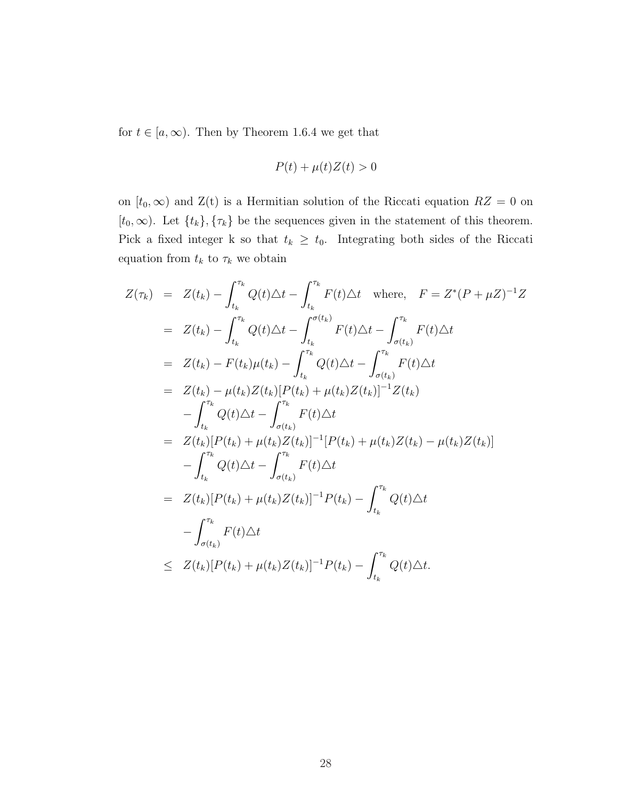for  $t \in [a, \infty)$ . Then by Theorem 1.6.4 we get that

$$
P(t) + \mu(t)Z(t) > 0
$$

on  $[t_0, \infty)$  and  $Z(t)$  is a Hermitian solution of the Riccati equation  $RZ = 0$  on [ $t_0, \infty$ ). Let  $\{t_k\}, \{\tau_k\}$  be the sequences given in the statement of this theorem. Pick a fixed integer k so that  $t_k \geq t_0$ . Integrating both sides of the Riccati equation from  $t_k$  to  $\tau_k$  we obtain

$$
Z(\tau_k) = Z(t_k) - \int_{t_k}^{\tau_k} Q(t) \Delta t - \int_{t_k}^{\tau_k} F(t) \Delta t \text{ where, } F = Z^*(P + \mu Z)^{-1} Z
$$
  
\n
$$
= Z(t_k) - \int_{t_k}^{\tau_k} Q(t) \Delta t - \int_{t_k}^{\sigma(t_k)} F(t) \Delta t - \int_{\sigma(t_k)}^{\tau_k} F(t) \Delta t
$$
  
\n
$$
= Z(t_k) - F(t_k) \mu(t_k) - \int_{t_k}^{\tau_k} Q(t) \Delta t - \int_{\sigma(t_k)}^{\tau_k} F(t) \Delta t
$$
  
\n
$$
= Z(t_k) - \mu(t_k) Z(t_k) [P(t_k) + \mu(t_k) Z(t_k)]^{-1} Z(t_k)
$$
  
\n
$$
- \int_{t_k}^{\tau_k} Q(t) \Delta t - \int_{\sigma(t_k)}^{\tau_k} F(t) \Delta t
$$
  
\n
$$
= Z(t_k) [P(t_k) + \mu(t_k) Z(t_k)]^{-1} [P(t_k) + \mu(t_k) Z(t_k) - \mu(t_k) Z(t_k)]
$$
  
\n
$$
- \int_{t_k}^{\tau_k} Q(t) \Delta t - \int_{\sigma(t_k)}^{\tau_k} F(t) \Delta t
$$
  
\n
$$
= Z(t_k) [P(t_k) + \mu(t_k) Z(t_k)]^{-1} P(t_k) - \int_{t_k}^{\tau_k} Q(t) \Delta t
$$
  
\n
$$
- \int_{\sigma(t_k)}^{\tau_k} F(t) \Delta t
$$
  
\n
$$
\leq Z(t_k) [P(t_k) + \mu(t_k) Z(t_k)]^{-1} P(t_k) - \int_{t_k}^{\tau_k} Q(t) \Delta t.
$$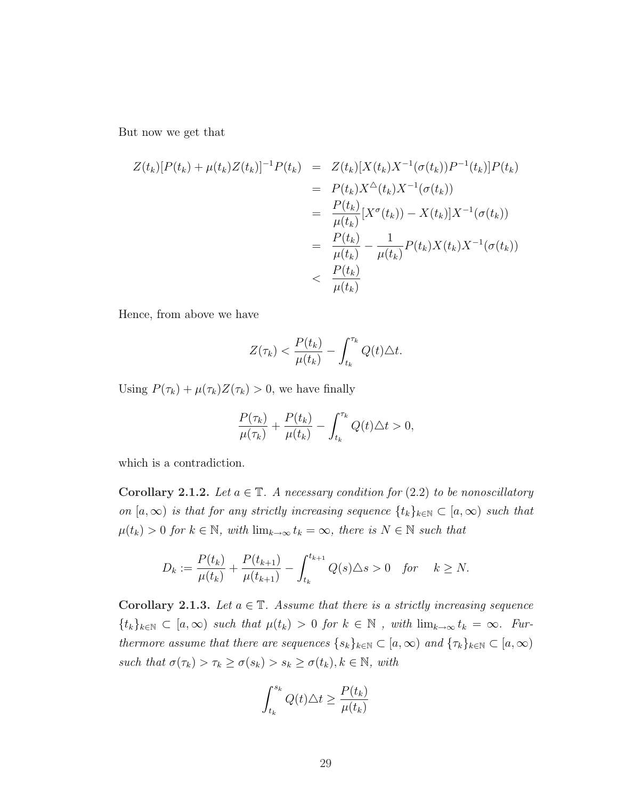But now we get that

$$
Z(t_k)[P(t_k) + \mu(t_k)Z(t_k)]^{-1}P(t_k) = Z(t_k)[X(t_k)X^{-1}(\sigma(t_k))P^{-1}(t_k)]P(t_k)
$$
  
\n
$$
= P(t_k)X^{\Delta}(t_k)X^{-1}(\sigma(t_k))
$$
  
\n
$$
= \frac{P(t_k)}{\mu(t_k)}[X^{\sigma}(t_k)) - X(t_k)]X^{-1}(\sigma(t_k))
$$
  
\n
$$
= \frac{P(t_k)}{\mu(t_k)} - \frac{1}{\mu(t_k)}P(t_k)X(t_k)X^{-1}(\sigma(t_k))
$$
  
\n
$$
< \frac{P(t_k)}{\mu(t_k)}
$$

Hence, from above we have

$$
Z(\tau_k) < \frac{P(t_k)}{\mu(t_k)} - \int_{t_k}^{\tau_k} Q(t) \triangle t.
$$

Using  $P(\tau_k) + \mu(\tau_k)Z(\tau_k) > 0$ , we have finally

$$
\frac{P(\tau_k)}{\mu(\tau_k)} + \frac{P(t_k)}{\mu(t_k)} - \int_{t_k}^{\tau_k} Q(t) \triangle t > 0,
$$

which is a contradiction.

Corollary 2.1.2. Let  $a \in \mathbb{T}$ . A necessary condition for (2.2) to be nonoscillatory on  $[a,\infty)$  is that for any strictly increasing sequence  $\{t_k\}_{k\in\mathbb{N}}\subset [a,\infty)$  such that  $\mu(t_k) > 0$  for  $k \in \mathbb{N}$ , with  $\lim_{k \to \infty} t_k = \infty$ , there is  $N \in \mathbb{N}$  such that

$$
D_k := \frac{P(t_k)}{\mu(t_k)} + \frac{P(t_{k+1})}{\mu(t_{k+1})} - \int_{t_k}^{t_{k+1}} Q(s) \Delta s > 0 \quad \text{for} \quad k \ge N.
$$

Corollary 2.1.3. Let  $a \in \mathbb{T}$ . Assume that there is a strictly increasing sequence  ${t_k}_{k\in\mathbb{N}} \subset [a,\infty)$  such that  $\mu(t_k) > 0$  for  $k \in \mathbb{N}$ , with  $\lim_{k\to\infty} t_k = \infty$ . Furthermore assume that there are sequences  $\{s_k\}_{k\in\mathbb{N}}\subset[a,\infty)$  and  $\{\tau_k\}_{k\in\mathbb{N}}\subset[a,\infty)$ such that  $\sigma(\tau_k) > \tau_k \geq \sigma(s_k) > s_k \geq \sigma(t_k), k \in \mathbb{N}$ , with

$$
\int_{t_k}^{s_k} Q(t) \triangle t \ge \frac{P(t_k)}{\mu(t_k)}
$$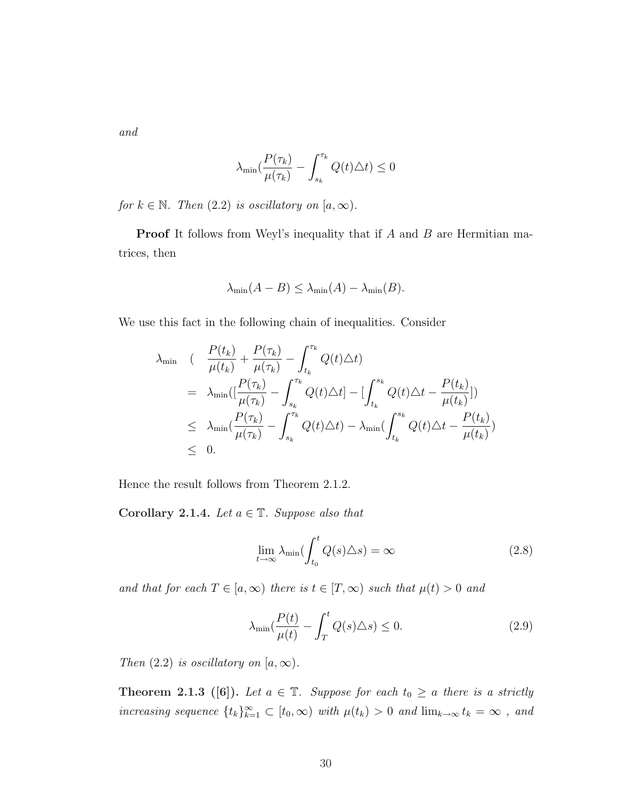and

$$
\lambda_{\min}(\frac{P(\tau_k)}{\mu(\tau_k)} - \int_{s_k}^{\tau_k} Q(t)\Delta t) \le 0
$$

for  $k \in \mathbb{N}$ . Then  $(2.2)$  is oscillatory on  $[a, \infty)$ .

**Proof** It follows from Weyl's inequality that if A and B are Hermitian matrices, then

$$
\lambda_{\min}(A - B) \le \lambda_{\min}(A) - \lambda_{\min}(B).
$$

We use this fact in the following chain of inequalities. Consider

$$
\lambda_{\min} \quad (\frac{P(t_k)}{\mu(t_k)} + \frac{P(\tau_k)}{\mu(\tau_k)} - \int_{t_k}^{\tau_k} Q(t) \Delta t)
$$
\n
$$
= \lambda_{\min} \left( \left[ \frac{P(\tau_k)}{\mu(\tau_k)} - \int_{s_k}^{\tau_k} Q(t) \Delta t \right] - \left[ \int_{t_k}^{s_k} Q(t) \Delta t - \frac{P(t_k)}{\mu(t_k)} \right] \right)
$$
\n
$$
\leq \lambda_{\min} \left( \frac{P(\tau_k)}{\mu(\tau_k)} - \int_{s_k}^{\tau_k} Q(t) \Delta t \right) - \lambda_{\min} \left( \int_{t_k}^{s_k} Q(t) \Delta t - \frac{P(t_k)}{\mu(t_k)} \right)
$$
\n
$$
\leq 0.
$$

Hence the result follows from Theorem 2.1.2.

Corollary 2.1.4. Let  $a \in \mathbb{T}$ . Suppose also that

$$
\lim_{t \to \infty} \lambda_{\min} \left( \int_{t_0}^t Q(s) \Delta s \right) = \infty \tag{2.8}
$$

and that for each  $T \in [a, \infty)$  there is  $t \in [T, \infty)$  such that  $\mu(t) > 0$  and

$$
\lambda_{\min}(\frac{P(t)}{\mu(t)} - \int_{T}^{t} Q(s) \triangle s) \le 0.
$$
\n(2.9)

Then  $(2.2)$  is oscillatory on  $[a,\infty)$ .

**Theorem 2.1.3** ([6]). Let  $a \in \mathbb{T}$ . Suppose for each  $t_0 \geq a$  there is a strictly increasing sequence  $\{t_k\}_{k=1}^{\infty} \subset [t_0, \infty)$  with  $\mu(t_k) > 0$  and  $\lim_{k \to \infty} t_k = \infty$ , and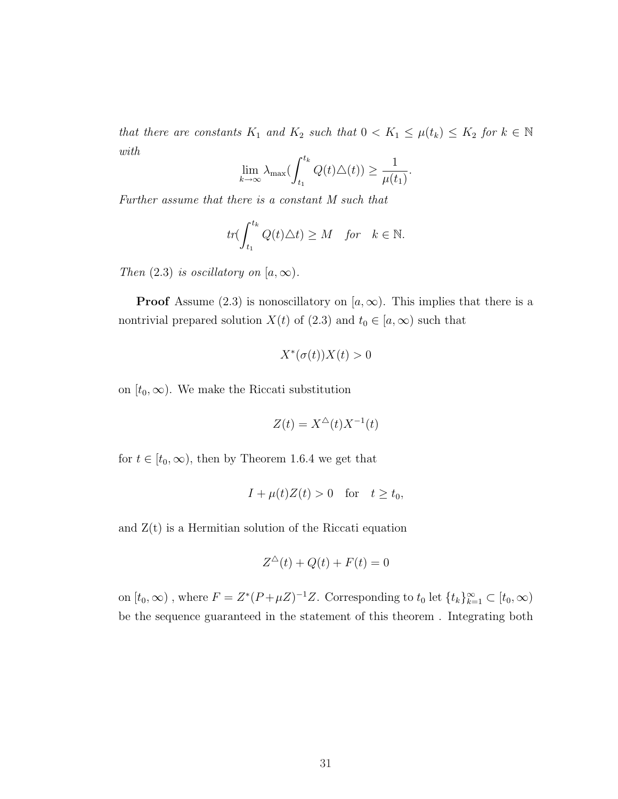that there are constants  $K_1$  and  $K_2$  such that  $0 < K_1 \leq \mu(t_k) \leq K_2$  for  $k \in \mathbb{N}$ with  $\int f_k$ 

$$
\lim_{k \to \infty} \lambda_{\max} \bigl( \int_{t_1}^{t_k} Q(t) \triangle(t) \bigr) \ge \frac{1}{\mu(t_1)}.
$$

Further assume that there is a constant M such that

$$
tr(\int_{t_1}^{t_k} Q(t)\triangle t) \ge M \quad \text{for} \quad k \in \mathbb{N}.
$$

Then  $(2.3)$  is oscillatory on  $[a,\infty)$ .

**Proof** Assume (2.3) is nonoscillatory on  $[a,\infty)$ . This implies that there is a nontrivial prepared solution  $X(t)$  of (2.3) and  $t_0 \in [a, \infty)$  such that

$$
X^*(\sigma(t))X(t) > 0
$$

on  $[t_0, \infty)$ . We make the Riccati substitution

$$
Z(t) = X^{\triangle}(t)X^{-1}(t)
$$

for  $t \in [t_0, \infty)$ , then by Theorem 1.6.4 we get that

$$
I + \mu(t)Z(t) > 0 \quad \text{for} \quad t \ge t_0,
$$

and  $Z(t)$  is a Hermitian solution of the Riccati equation

$$
Z^{\triangle}(t) + Q(t) + F(t) = 0
$$

on  $[t_0, \infty)$ , where  $F = Z^*(P + \mu Z)^{-1}Z$ . Corresponding to  $t_0$  let  $\{t_k\}_{k=1}^{\infty} \subset [t_0, \infty)$ be the sequence guaranteed in the statement of this theorem . Integrating both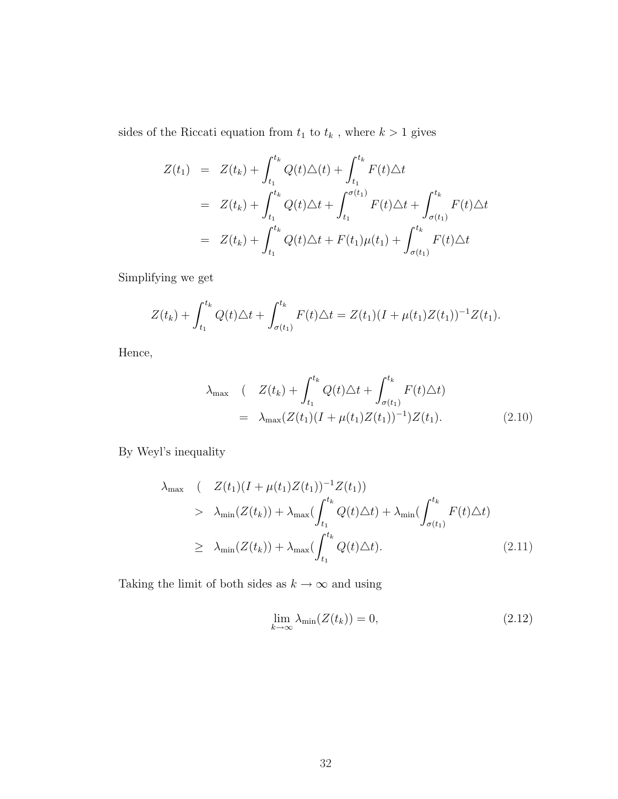sides of the Riccati equation from  $t_1$  to  $t_k$  , where  $k>1$  gives

$$
Z(t_1) = Z(t_k) + \int_{t_1}^{t_k} Q(t) \Delta(t) + \int_{t_1}^{t_k} F(t) \Delta t
$$
  
\n
$$
= Z(t_k) + \int_{t_1}^{t_k} Q(t) \Delta t + \int_{t_1}^{\sigma(t_1)} F(t) \Delta t + \int_{\sigma(t_1)}^{t_k} F(t) \Delta t
$$
  
\n
$$
= Z(t_k) + \int_{t_1}^{t_k} Q(t) \Delta t + F(t_1) \mu(t_1) + \int_{\sigma(t_1)}^{t_k} F(t) \Delta t
$$

Simplifying we get

$$
Z(t_k) + \int_{t_1}^{t_k} Q(t) \triangle t + \int_{\sigma(t_1)}^{t_k} F(t) \triangle t = Z(t_1)(I + \mu(t_1)Z(t_1))^{-1}Z(t_1).
$$

Hence,

$$
\lambda_{\max} \quad (Z(t_k) + \int_{t_1}^{t_k} Q(t) \Delta t + \int_{\sigma(t_1)}^{t_k} F(t) \Delta t)
$$
\n
$$
= \lambda_{\max} (Z(t_1)(I + \mu(t_1)Z(t_1))^{-1})Z(t_1). \tag{2.10}
$$

By Weyl's inequality

$$
\lambda_{\max} \quad (Z(t_1)(I + \mu(t_1)Z(t_1))^{-1}Z(t_1))
$$
\n
$$
> \lambda_{\min}(Z(t_k)) + \lambda_{\max} \left( \int_{t_1}^{t_k} Q(t) \Delta t \right) + \lambda_{\min} \left( \int_{\sigma(t_1)}^{t_k} F(t) \Delta t \right)
$$
\n
$$
\geq \lambda_{\min}(Z(t_k)) + \lambda_{\max} \left( \int_{t_1}^{t_k} Q(t) \Delta t \right). \tag{2.11}
$$

Taking the limit of both sides as  $k\to\infty$  and using

$$
\lim_{k \to \infty} \lambda_{\min}(Z(t_k)) = 0,\tag{2.12}
$$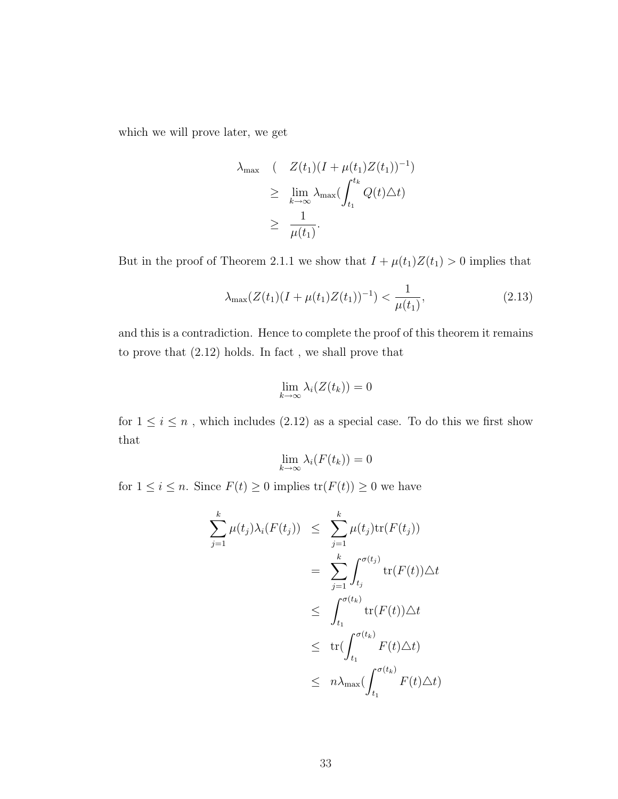which we will prove later, we get

$$
\lambda_{\max} \quad (Z(t_1)(I + \mu(t_1)Z(t_1))^{-1})
$$
\n
$$
\geq \lim_{k \to \infty} \lambda_{\max} \left( \int_{t_1}^{t_k} Q(t) \Delta t \right)
$$
\n
$$
\geq \frac{1}{\mu(t_1)}.
$$

But in the proof of Theorem 2.1.1 we show that  $I + \mu(t_1)Z(t_1) > 0$  implies that

$$
\lambda_{\max}(Z(t_1)(I + \mu(t_1)Z(t_1))^{-1}) < \frac{1}{\mu(t_1)},\tag{2.13}
$$

and this is a contradiction. Hence to complete the proof of this theorem it remains to prove that (2.12) holds. In fact , we shall prove that

$$
\lim_{k \to \infty} \lambda_i(Z(t_k)) = 0
$$

for  $1\leq i\leq n$  , which includes (2.12) as a special case. To do this we first show that

$$
\lim_{k \to \infty} \lambda_i(F(t_k)) = 0
$$

for  $1 \leq i \leq n$ . Since  $F(t) \geq 0$  implies  $\text{tr}(F(t)) \geq 0$  we have

$$
\sum_{j=1}^{k} \mu(t_j) \lambda_i(F(t_j)) \leq \sum_{j=1}^{k} \mu(t_j) \text{tr}(F(t_j))
$$
\n
$$
= \sum_{j=1}^{k} \int_{t_j}^{\sigma(t_j)} \text{tr}(F(t)) \triangle t
$$
\n
$$
\leq \int_{t_1}^{\sigma(t_k)} \text{tr}(F(t)) \triangle t
$$
\n
$$
\leq \text{tr}(\int_{t_1}^{\sigma(t_k)} F(t) \triangle t)
$$
\n
$$
\leq n \lambda_{\text{max}}(\int_{t_1}^{\sigma(t_k)} F(t) \triangle t)
$$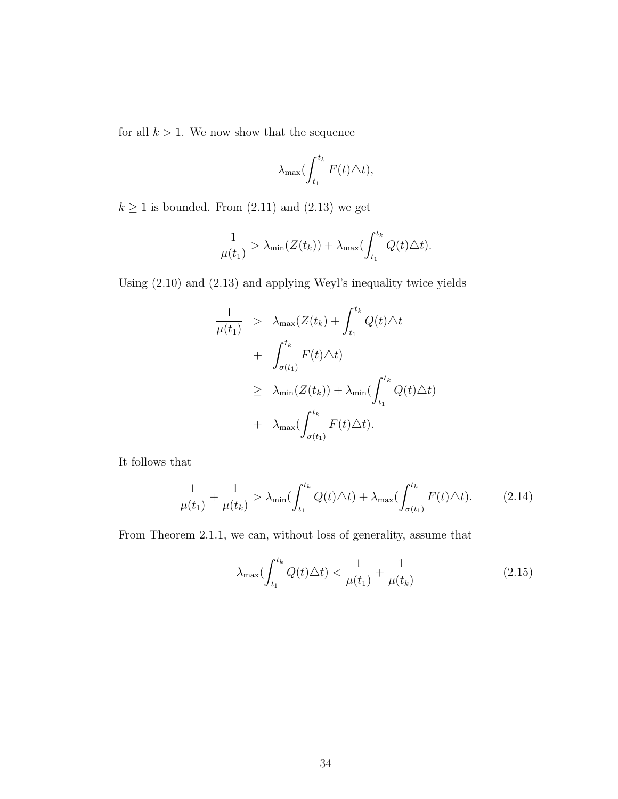for all  $k > 1$ . We now show that the sequence

$$
\lambda_{\max} \bigl( \int_{t_1}^{t_k} F(t) \triangle t \bigr),
$$

 $k\geq 1$  is bounded. From (2.11) and (2.13) we get

$$
\frac{1}{\mu(t_1)} > \lambda_{\min}(Z(t_k)) + \lambda_{\max}(\int_{t_1}^{t_k} Q(t) \triangle t).
$$

Using (2.10) and (2.13) and applying Weyl's inequality twice yields

$$
\frac{1}{\mu(t_1)} > \lambda_{\max}(Z(t_k) + \int_{t_1}^{t_k} Q(t) \Delta t
$$
  
+ 
$$
\int_{\sigma(t_1)}^{t_k} F(t) \Delta t)
$$
  

$$
\geq \lambda_{\min}(Z(t_k)) + \lambda_{\min}(\int_{t_1}^{t_k} Q(t) \Delta t)
$$
  
+ 
$$
\lambda_{\max}(\int_{\sigma(t_1)}^{t_k} F(t) \Delta t).
$$

It follows that

$$
\frac{1}{\mu(t_1)} + \frac{1}{\mu(t_k)} > \lambda_{\min}(\int_{t_1}^{t_k} Q(t)\Delta t) + \lambda_{\max}(\int_{\sigma(t_1)}^{t_k} F(t)\Delta t). \tag{2.14}
$$

From Theorem 2.1.1, we can, without loss of generality, assume that

$$
\lambda_{\max}(\int_{t_1}^{t_k} Q(t)\Delta t) < \frac{1}{\mu(t_1)} + \frac{1}{\mu(t_k)}\tag{2.15}
$$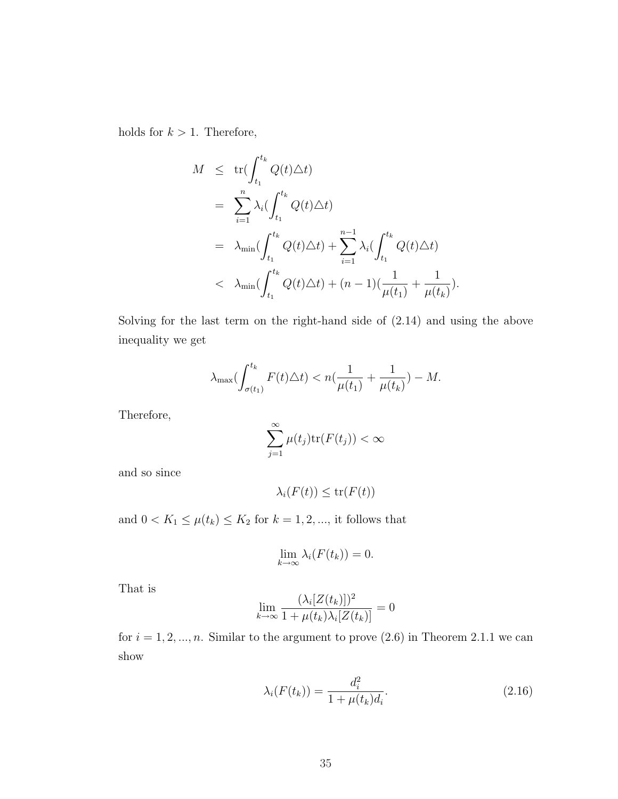holds for  $k > 1$ . Therefore,

$$
M \leq \operatorname{tr}(\int_{t_1}^{t_k} Q(t) \Delta t)
$$
  
\n
$$
= \sum_{i=1}^{n} \lambda_i (\int_{t_1}^{t_k} Q(t) \Delta t)
$$
  
\n
$$
= \lambda_{\min} (\int_{t_1}^{t_k} Q(t) \Delta t) + \sum_{i=1}^{n-1} \lambda_i (\int_{t_1}^{t_k} Q(t) \Delta t)
$$
  
\n
$$
< \lambda_{\min} (\int_{t_1}^{t_k} Q(t) \Delta t) + (n-1) (\frac{1}{\mu(t_1)} + \frac{1}{\mu(t_k)}).
$$

Solving for the last term on the right-hand side of (2.14) and using the above inequality we get

$$
\lambda_{\max}(\int_{\sigma(t_1)}^{t_k} F(t) \triangle t) < n(\frac{1}{\mu(t_1)} + \frac{1}{\mu(t_k)}) - M.
$$

Therefore,

$$
\sum_{j=1}^{\infty} \mu(t_j) \text{tr}(F(t_j)) < \infty
$$

and so since

$$
\lambda_i(F(t)) \le \text{tr}(F(t))
$$

and  $0 < K_1 \leq \mu(t_k) \leq K_2$  for  $k = 1, 2, \dots$ , it follows that

$$
\lim_{k \to \infty} \lambda_i(F(t_k)) = 0.
$$

That is

$$
\lim_{k \to \infty} \frac{(\lambda_i[Z(t_k)])^2}{1 + \mu(t_k)\lambda_i[Z(t_k)]} = 0
$$

for  $i = 1, 2, ..., n$ . Similar to the argument to prove  $(2.6)$  in Theorem 2.1.1 we can show

$$
\lambda_i(F(t_k)) = \frac{d_i^2}{1 + \mu(t_k)d_i}.
$$
\n(2.16)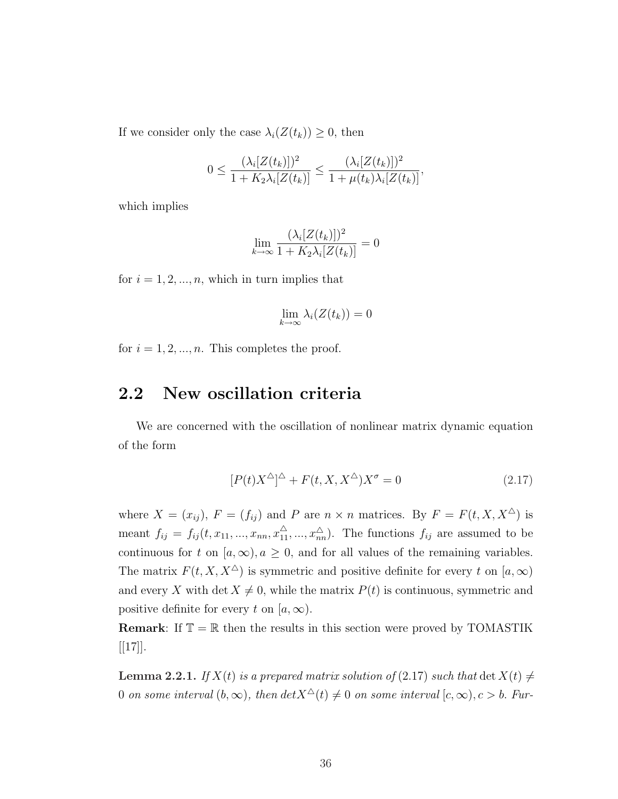If we consider only the case  $\lambda_i(Z(t_k)) \geq 0$ , then

$$
0 \leq \frac{(\lambda_i[Z(t_k)])^2}{1 + K_2 \lambda_i[Z(t_k)]} \leq \frac{(\lambda_i[Z(t_k)])^2}{1 + \mu(t_k)\lambda_i[Z(t_k)]},
$$

which implies

$$
\lim_{k \to \infty} \frac{(\lambda_i[Z(t_k)])^2}{1 + K_2 \lambda_i[Z(t_k)]} = 0
$$

for  $i = 1, 2, ..., n$ , which in turn implies that

$$
\lim_{k \to \infty} \lambda_i(Z(t_k)) = 0
$$

for  $i = 1, 2, ..., n$ . This completes the proof.

#### 2.2 New oscillation criteria

We are concerned with the oscillation of nonlinear matrix dynamic equation of the form

$$
[P(t)X^{\Delta}]^{\Delta} + F(t, X, X^{\Delta})X^{\sigma} = 0
$$
\n(2.17)

where  $X = (x_{ij}), F = (f_{ij})$  and P are  $n \times n$  matrices. By  $F = F(t, X, X^{\Delta})$  is meant  $f_{ij} = f_{ij}(t, x_{11}, ..., x_{nn}, x_{11}^{\triangle}, ..., x_{nn}^{\triangle})$ . The functions  $f_{ij}$  are assumed to be continuous for t on  $[a,\infty), a \ge 0$ , and for all values of the remaining variables. The matrix  $F(t, X, X^{\Delta})$  is symmetric and positive definite for every t on  $[a, \infty)$ and every X with det  $X \neq 0$ , while the matrix  $P(t)$  is continuous, symmetric and positive definite for every t on  $[a,\infty)$ .

**Remark:** If  $\mathbb{T} = \mathbb{R}$  then the results in this section were proved by TOMASTIK  $[17]$ .

**Lemma 2.2.1.** If  $X(t)$  is a prepared matrix solution of (2.17) such that  $\det X(t) \neq$ 0 on some interval  $(b, \infty)$ , then  $det X^{\Delta}(t) \neq 0$  on some interval  $[c, \infty), c > b$ . Fur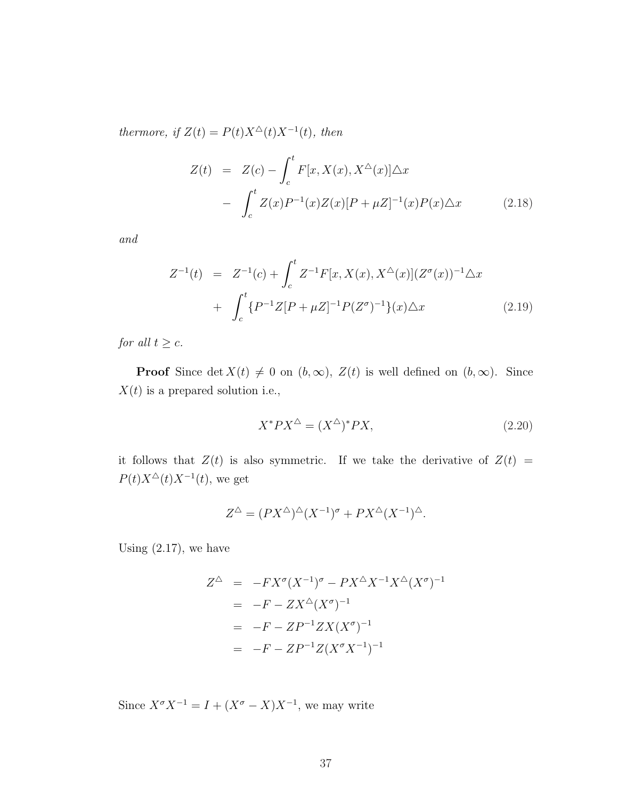thermore, if  $Z(t) = P(t)X^{\Delta}(t)X^{-1}(t)$ , then

$$
Z(t) = Z(c) - \int_{c}^{t} F[x, X(x), X^{\Delta}(x)] \Delta x
$$

$$
- \int_{c}^{t} Z(x) P^{-1}(x) Z(x) [P + \mu Z]^{-1}(x) P(x) \Delta x \qquad (2.18)
$$

and

$$
Z^{-1}(t) = Z^{-1}(c) + \int_{c}^{t} Z^{-1}F[x, X(x), X^{\Delta}(x)](Z^{\sigma}(x))^{-1}\Delta x
$$
  
+ 
$$
\int_{c}^{t} \{P^{-1}Z[P + \mu Z]^{-1}P(Z^{\sigma})^{-1}\}(x)\Delta x
$$
 (2.19)

for all  $t \geq c$ .

**Proof** Since det  $X(t) \neq 0$  on  $(b, \infty)$ ,  $Z(t)$  is well defined on  $(b, \infty)$ . Since  $X(t)$  is a prepared solution i.e.,

$$
X^*PX^\Delta = (X^\Delta)^*PX,\tag{2.20}
$$

it follows that  $Z(t)$  is also symmetric. If we take the derivative of  $Z(t)$  =  $P(t)X^{\Delta}(t)X^{-1}(t)$ , we get

$$
Z^{\triangle} = (PX^{\triangle})^{\triangle}(X^{-1})^{\sigma} + PX^{\triangle}(X^{-1})^{\triangle}.
$$

Using  $(2.17)$ , we have

$$
Z^{\triangle} = -FX^{\sigma} (X^{-1})^{\sigma} - PX^{\triangle} X^{-1} X^{\triangle} (X^{\sigma})^{-1}
$$
  
= -F - ZX^{\triangle} (X^{\sigma})^{-1}  
= -F - ZP^{-1}ZX (X^{\sigma})^{-1}  
= -F - ZP^{-1}Z (X^{\sigma} X^{-1})^{-1}

Since  $X^{\sigma} X^{-1} = I + (X^{\sigma} - X)X^{-1}$ , we may write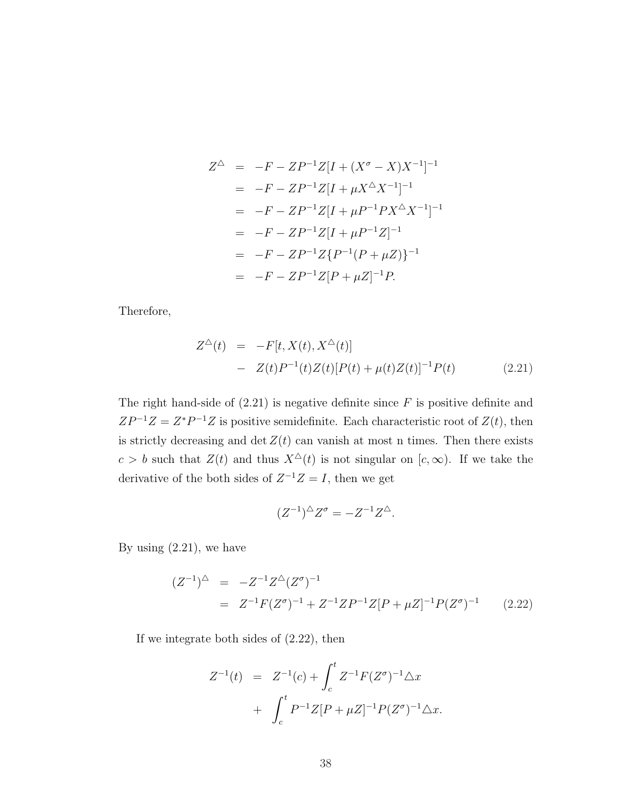$$
Z^{\triangle} = -F - ZP^{-1}Z[I + (X^{\sigma} - X)X^{-1}]^{-1}
$$
  
= -F - ZP^{-1}Z[I + \mu X^{\triangle}X^{-1}]^{-1}  
= -F - ZP^{-1}Z[I + \mu P^{-1}PX^{\triangle}X^{-1}]^{-1}  
= -F - ZP^{-1}Z[I + \mu P^{-1}Z]^{-1}  
= -F - ZP^{-1}Z\{P^{-1}(P + \mu Z)\}^{-1}  
= -F - ZP^{-1}Z[P + \mu Z]^{-1}P.

Therefore,

$$
Z^{\Delta}(t) = -F[t, X(t), X^{\Delta}(t)]
$$
  
-  $Z(t)P^{-1}(t)Z(t)[P(t) + \mu(t)Z(t)]^{-1}P(t)$  (2.21)

The right hand-side of  $(2.21)$  is negative definite since  $F$  is positive definite and  $ZP^{-1}Z = Z^*P^{-1}Z$  is positive semidefinite. Each characteristic root of  $Z(t)$ , then is strictly decreasing and det  $Z(t)$  can vanish at most n times. Then there exists  $c > b$  such that  $Z(t)$  and thus  $X^{\Delta}(t)$  is not singular on  $[c, \infty)$ . If we take the derivative of the both sides of  $Z^{-1}Z = I$ , then we get

$$
(Z^{-1})^{\triangle} Z^{\sigma} = -Z^{-1} Z^{\triangle}.
$$

By using  $(2.21)$ , we have

$$
(Z^{-1})^{\triangle} = -Z^{-1}Z^{\triangle}(Z^{\sigma})^{-1}
$$
  
=  $Z^{-1}F(Z^{\sigma})^{-1} + Z^{-1}ZP^{-1}Z[P + \mu Z]^{-1}P(Z^{\sigma})^{-1}$  (2.22)

If we integrate both sides of (2.22), then

$$
Z^{-1}(t) = Z^{-1}(c) + \int_c^t Z^{-1} F(Z^{\sigma})^{-1} \Delta x
$$
  
+ 
$$
\int_c^t P^{-1} Z[P + \mu Z]^{-1} P(Z^{\sigma})^{-1} \Delta x.
$$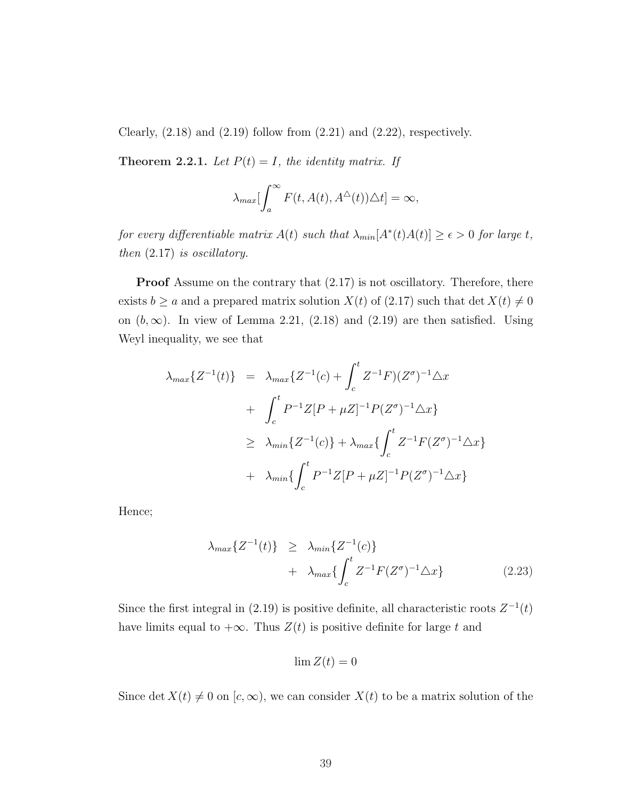Clearly,  $(2.18)$  and  $(2.19)$  follow from  $(2.21)$  and  $(2.22)$ , respectively.

Theorem 2.2.1. Let  $P(t) = I$ , the identity matrix. If

$$
\lambda_{max} \left[ \int_a^{\infty} F(t, A(t), A^{\triangle}(t)) \triangle t \right] = \infty,
$$

for every differentiable matrix  $A(t)$  such that  $\lambda_{min}[A^*(t)A(t)] \geq \epsilon > 0$  for large t, then (2.17) is oscillatory.

Proof Assume on the contrary that  $(2.17)$  is not oscillatory. Therefore, there exists  $b \ge a$  and a prepared matrix solution  $X(t)$  of (2.17) such that det  $X(t) \ne 0$ on  $(b, \infty)$ . In view of Lemma 2.21, (2.18) and (2.19) are then satisfied. Using Weyl inequality, we see that

$$
\lambda_{max}\{Z^{-1}(t)\} = \lambda_{max}\{Z^{-1}(c) + \int_{c}^{t} Z^{-1}F)(Z^{\sigma})^{-1} \Delta x
$$
  
+ 
$$
\int_{c}^{t} P^{-1}Z[P + \mu Z]^{-1}P(Z^{\sigma})^{-1} \Delta x\}
$$
  

$$
\geq \lambda_{min}\{Z^{-1}(c)\} + \lambda_{max}\{\int_{c}^{t} Z^{-1}F(Z^{\sigma})^{-1} \Delta x\}
$$
  
+ 
$$
\lambda_{min}\{\int_{c}^{t} P^{-1}Z[P + \mu Z]^{-1}P(Z^{\sigma})^{-1} \Delta x\}
$$

Hence;

$$
\lambda_{max}\lbrace Z^{-1}(t)\rbrace \geq \lambda_{min}\lbrace Z^{-1}(c)\rbrace
$$
  
+ 
$$
\lambda_{max}\lbrace \int_{c}^{t} Z^{-1} F(Z^{\sigma})^{-1} \triangle x\rbrace
$$
 (2.23)

Since the first integral in (2.19) is positive definite, all characteristic roots  $Z^{-1}(t)$ have limits equal to  $+\infty$ . Thus  $Z(t)$  is positive definite for large t and

$$
\lim Z(t) = 0
$$

Since det  $X(t) \neq 0$  on  $[c, \infty)$ , we can consider  $X(t)$  to be a matrix solution of the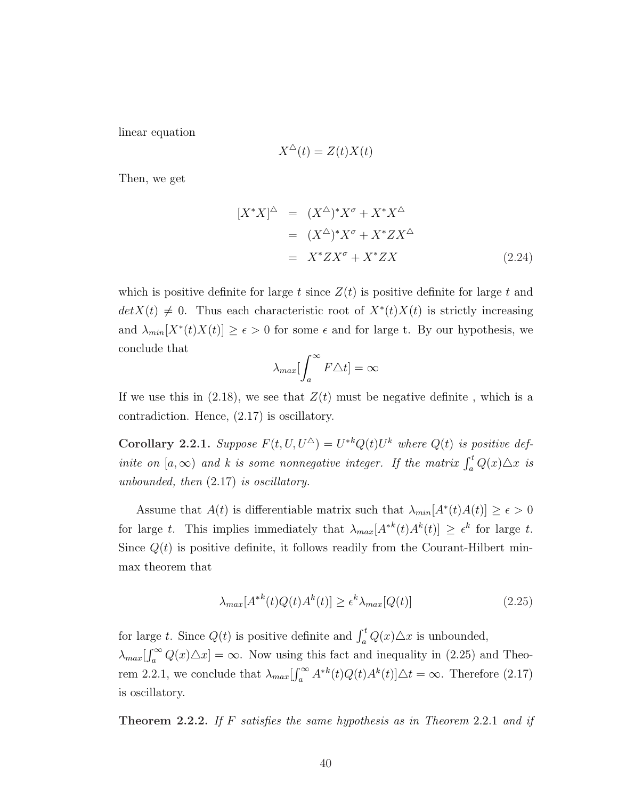linear equation

$$
X^{\triangle}(t) = Z(t)X(t)
$$

Then, we get

$$
[X^*X]^\Delta = (X^\Delta)^* X^\sigma + X^* X^\Delta
$$
  
= 
$$
(X^\Delta)^* X^\sigma + X^* Z X^\Delta
$$
  
= 
$$
X^* Z X^\sigma + X^* Z X
$$
 (2.24)

which is positive definite for large t since  $Z(t)$  is positive definite for large t and  $det X(t) \neq 0$ . Thus each characteristic root of  $X^*(t)X(t)$  is strictly increasing and  $\lambda_{min}[X^*(t)X(t)] \geq \epsilon > 0$  for some  $\epsilon$  and for large t. By our hypothesis, we conclude that  $r^{\infty}$ 

$$
\lambda_{max}[\int_{a}^{\infty} F \triangle t] = \infty
$$

If we use this in  $(2.18)$ , we see that  $Z(t)$  must be negative definite, which is a contradiction. Hence, (2.17) is oscillatory.

**Corollary 2.2.1.** Suppose  $F(t, U, U^{\Delta}) = U^{*k}Q(t)U^{k}$  where  $Q(t)$  is positive definite on  $[a, \infty)$  and k is some nonnegative integer. If the matrix  $\int_a^t Q(x) \triangle x$  is unbounded, then (2.17) is oscillatory.

Assume that  $A(t)$  is differentiable matrix such that  $\lambda_{min}[A^*(t)A(t)] \geq \epsilon > 0$ for large t. This implies immediately that  $\lambda_{max}[A^{*k}(t)A^{k}(t)] \geq \epsilon^{k}$  for large t. Since  $Q(t)$  is positive definite, it follows readily from the Courant-Hilbert minmax theorem that

$$
\lambda_{max}[A^{*k}(t)Q(t)A^{k}(t)] \ge \epsilon^{k}\lambda_{max}[Q(t)]\tag{2.25}
$$

for large t. Since  $Q(t)$  is positive definite and  $\int_a^t Q(x) \triangle x$  is unbounded,  $\lambda_{max}$ [ ∝ہ۔<br>∾∩  $a_a^{\infty} Q(x) \Delta x$  =  $\infty$ . Now using this fact and inequality in (2.25) and Theorem 2.2.1, we conclude that  $\lambda_{max}$  $\int_{a}^{\infty} A^{*k}(t)Q(t)A^{k}(t)]\Delta t = \infty$ . Therefore (2.17) is oscillatory.

**Theorem 2.2.2.** If F satisfies the same hypothesis as in Theorem 2.2.1 and if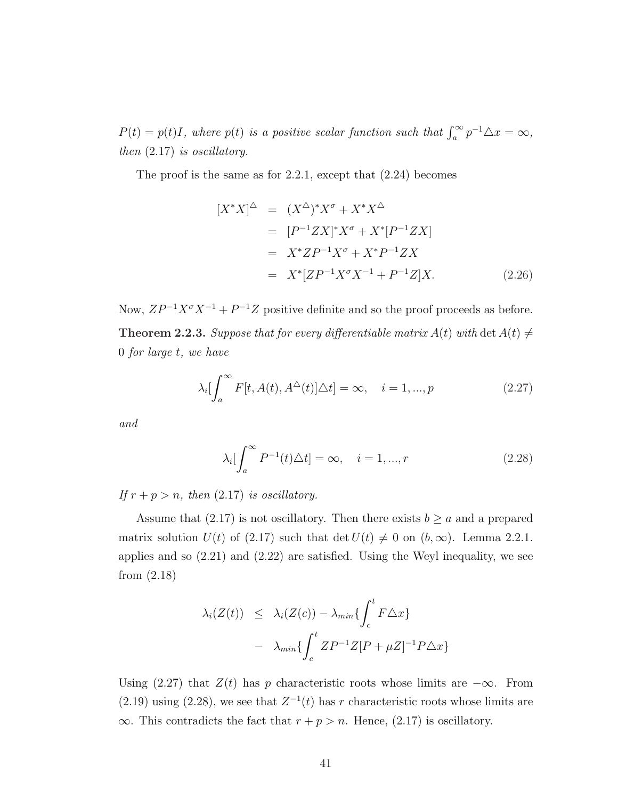$P(t) = p(t)I$ , where  $p(t)$  is a positive scalar function such that  $\int_a^{\infty} p^{-1} \Delta x = \infty$ , then (2.17) is oscillatory.

The proof is the same as for 2.2.1, except that (2.24) becomes

$$
[X^*X]^\Delta = (X^\Delta)^* X^\sigma + X^* X^\Delta
$$
  
= 
$$
[P^{-1}ZX]^* X^\sigma + X^*[P^{-1}ZX]
$$
  
= 
$$
X^* Z P^{-1} X^\sigma + X^* P^{-1} Z X
$$
  
= 
$$
X^*[Z P^{-1} X^\sigma X^{-1} + P^{-1} Z] X.
$$
 (2.26)

Now,  $ZP^{-1}X^{\sigma}X^{-1} + P^{-1}Z$  positive definite and so the proof proceeds as before. **Theorem 2.2.3.** Suppose that for every differentiable matrix  $A(t)$  with det  $A(t) \neq 0$ 0 for large t, we have

$$
\lambda_i \left[ \int_a^{\infty} F[t, A(t), A^{\triangle}(t)] \triangle t \right] = \infty, \quad i = 1, ..., p
$$
\n(2.27)

and

$$
\lambda_i \left[ \int_a^{\infty} P^{-1}(t) \Delta t \right] = \infty, \quad i = 1, ..., r \tag{2.28}
$$

If  $r + p > n$ , then (2.17) is oscillatory.

Assume that (2.17) is not oscillatory. Then there exists  $b \ge a$  and a prepared matrix solution  $U(t)$  of (2.17) such that det  $U(t) \neq 0$  on  $(b, \infty)$ . Lemma 2.2.1. applies and so (2.21) and (2.22) are satisfied. Using the Weyl inequality, we see from (2.18)

$$
\lambda_i(Z(t)) \leq \lambda_i(Z(c)) - \lambda_{min} \{ \int_c^t F \triangle x \}
$$

$$
- \lambda_{min} \{ \int_c^t ZP^{-1}Z[P+\mu Z]^{-1}P\triangle x \}
$$

Using (2.27) that  $Z(t)$  has p characteristic roots whose limits are  $-\infty$ . From (2.19) using (2.28), we see that  $Z^{-1}(t)$  has r characteristic roots whose limits are  $\infty$ . This contradicts the fact that  $r + p > n$ . Hence, (2.17) is oscillatory.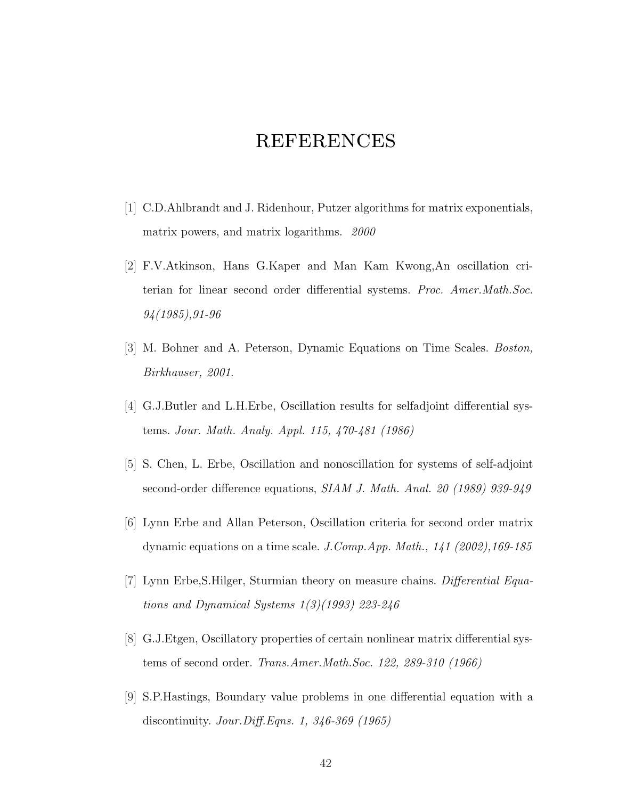# **REFERENCES**

- [1] C.D.Ahlbrandt and J. Ridenhour, Putzer algorithms for matrix exponentials, matrix powers, and matrix logarithms. 2000
- [2] F.V.Atkinson, Hans G.Kaper and Man Kam Kwong,An oscillation criterian for linear second order differential systems. Proc. Amer.Math.Soc. 94(1985),91-96
- [3] M. Bohner and A. Peterson, Dynamic Equations on Time Scales. Boston, Birkhauser, 2001.
- [4] G.J.Butler and L.H.Erbe, Oscillation results for selfadjoint differential systems. Jour. Math. Analy. Appl. 115, 470-481 (1986)
- [5] S. Chen, L. Erbe, Oscillation and nonoscillation for systems of self-adjoint second-order difference equations, SIAM J. Math. Anal. 20 (1989) 939-949
- [6] Lynn Erbe and Allan Peterson, Oscillation criteria for second order matrix dynamic equations on a time scale. J.Comp.App. Math., 141 (2002),169-185
- [7] Lynn Erbe,S.Hilger, Sturmian theory on measure chains. Differential Equations and Dynamical Systems 1(3)(1993) 223-246
- [8] G.J.Etgen, Oscillatory properties of certain nonlinear matrix differential systems of second order. Trans.Amer.Math.Soc. 122, 289-310 (1966)
- [9] S.P.Hastings, Boundary value problems in one differential equation with a discontinuity. Jour.Diff.Eqns. 1, 346-369 (1965)